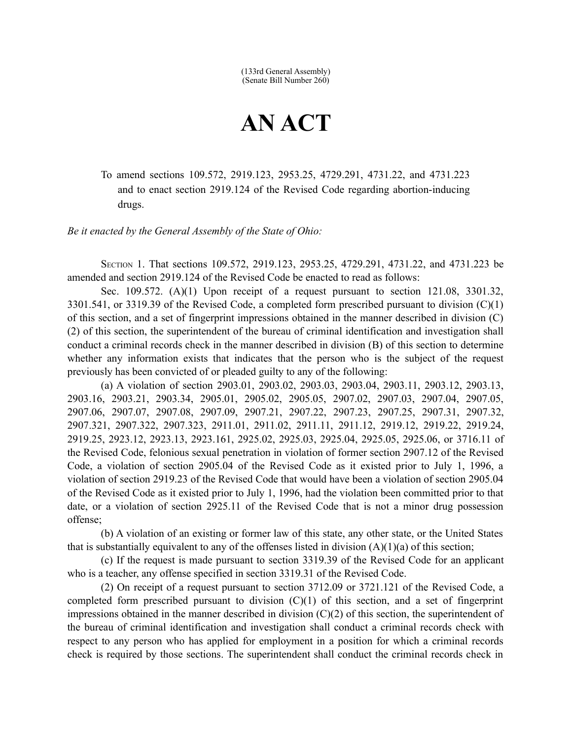(133rd General Assembly) (Senate Bill Number 260)

## **AN ACT**

To amend sections 109.572, 2919.123, 2953.25, 4729.291, 4731.22, and 4731.223 and to enact section 2919.124 of the Revised Code regarding abortion-inducing drugs.

*Be it enacted by the General Assembly of the State of Ohio:*

SECTION 1. That sections 109.572, 2919.123, 2953.25, 4729.291, 4731.22, and 4731.223 be amended and section 2919.124 of the Revised Code be enacted to read as follows:

Sec. 109.572.  $(A)(1)$  Upon receipt of a request pursuant to section 121.08, 3301.32, 3301.541, or 3319.39 of the Revised Code, a completed form prescribed pursuant to division (C)(1) of this section, and a set of fingerprint impressions obtained in the manner described in division (C) (2) of this section, the superintendent of the bureau of criminal identification and investigation shall conduct a criminal records check in the manner described in division (B) of this section to determine whether any information exists that indicates that the person who is the subject of the request previously has been convicted of or pleaded guilty to any of the following:

(a) A violation of section 2903.01, 2903.02, 2903.03, 2903.04, 2903.11, 2903.12, 2903.13, 2903.16, 2903.21, 2903.34, 2905.01, 2905.02, 2905.05, 2907.02, 2907.03, 2907.04, 2907.05, 2907.06, 2907.07, 2907.08, 2907.09, 2907.21, 2907.22, 2907.23, 2907.25, 2907.31, 2907.32, 2907.321, 2907.322, 2907.323, 2911.01, 2911.02, 2911.11, 2911.12, 2919.12, 2919.22, 2919.24, 2919.25, 2923.12, 2923.13, 2923.161, 2925.02, 2925.03, 2925.04, 2925.05, 2925.06, or 3716.11 of the Revised Code, felonious sexual penetration in violation of former section 2907.12 of the Revised Code, a violation of section 2905.04 of the Revised Code as it existed prior to July 1, 1996, a violation of section 2919.23 of the Revised Code that would have been a violation of section 2905.04 of the Revised Code as it existed prior to July 1, 1996, had the violation been committed prior to that date, or a violation of section 2925.11 of the Revised Code that is not a minor drug possession offense;

(b) A violation of an existing or former law of this state, any other state, or the United States that is substantially equivalent to any of the offenses listed in division  $(A)(1)(a)$  of this section;

(c) If the request is made pursuant to section 3319.39 of the Revised Code for an applicant who is a teacher, any offense specified in section 3319.31 of the Revised Code.

(2) On receipt of a request pursuant to section 3712.09 or 3721.121 of the Revised Code, a completed form prescribed pursuant to division (C)(1) of this section, and a set of fingerprint impressions obtained in the manner described in division  $(C)(2)$  of this section, the superintendent of the bureau of criminal identification and investigation shall conduct a criminal records check with respect to any person who has applied for employment in a position for which a criminal records check is required by those sections. The superintendent shall conduct the criminal records check in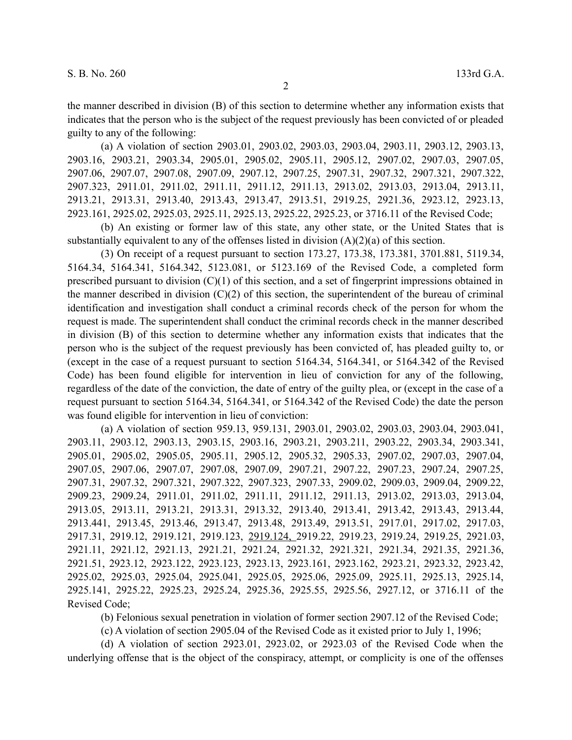(a) A violation of section 2903.01, 2903.02, 2903.03, 2903.04, 2903.11, 2903.12, 2903.13, 2903.16, 2903.21, 2903.34, 2905.01, 2905.02, 2905.11, 2905.12, 2907.02, 2907.03, 2907.05, 2907.06, 2907.07, 2907.08, 2907.09, 2907.12, 2907.25, 2907.31, 2907.32, 2907.321, 2907.322, 2907.323, 2911.01, 2911.02, 2911.11, 2911.12, 2911.13, 2913.02, 2913.03, 2913.04, 2913.11, 2913.21, 2913.31, 2913.40, 2913.43, 2913.47, 2913.51, 2919.25, 2921.36, 2923.12, 2923.13, 2923.161, 2925.02, 2925.03, 2925.11, 2925.13, 2925.22, 2925.23, or 3716.11 of the Revised Code;

(b) An existing or former law of this state, any other state, or the United States that is substantially equivalent to any of the offenses listed in division (A)(2)(a) of this section.

(3) On receipt of a request pursuant to section 173.27, 173.38, 173.381, 3701.881, 5119.34, 5164.34, 5164.341, 5164.342, 5123.081, or 5123.169 of the Revised Code, a completed form prescribed pursuant to division (C)(1) of this section, and a set of fingerprint impressions obtained in the manner described in division  $(C)(2)$  of this section, the superintendent of the bureau of criminal identification and investigation shall conduct a criminal records check of the person for whom the request is made. The superintendent shall conduct the criminal records check in the manner described in division (B) of this section to determine whether any information exists that indicates that the person who is the subject of the request previously has been convicted of, has pleaded guilty to, or (except in the case of a request pursuant to section 5164.34, 5164.341, or 5164.342 of the Revised Code) has been found eligible for intervention in lieu of conviction for any of the following, regardless of the date of the conviction, the date of entry of the guilty plea, or (except in the case of a request pursuant to section 5164.34, 5164.341, or 5164.342 of the Revised Code) the date the person was found eligible for intervention in lieu of conviction:

(a) A violation of section 959.13, 959.131, 2903.01, 2903.02, 2903.03, 2903.04, 2903.041, 2903.11, 2903.12, 2903.13, 2903.15, 2903.16, 2903.21, 2903.211, 2903.22, 2903.34, 2903.341, 2905.01, 2905.02, 2905.05, 2905.11, 2905.12, 2905.32, 2905.33, 2907.02, 2907.03, 2907.04, 2907.05, 2907.06, 2907.07, 2907.08, 2907.09, 2907.21, 2907.22, 2907.23, 2907.24, 2907.25, 2907.31, 2907.32, 2907.321, 2907.322, 2907.323, 2907.33, 2909.02, 2909.03, 2909.04, 2909.22, 2909.23, 2909.24, 2911.01, 2911.02, 2911.11, 2911.12, 2911.13, 2913.02, 2913.03, 2913.04, 2913.05, 2913.11, 2913.21, 2913.31, 2913.32, 2913.40, 2913.41, 2913.42, 2913.43, 2913.44, 2913.441, 2913.45, 2913.46, 2913.47, 2913.48, 2913.49, 2913.51, 2917.01, 2917.02, 2917.03, 2917.31, 2919.12, 2919.121, 2919.123, 2919.124, 2919.22, 2919.23, 2919.24, 2919.25, 2921.03, 2921.11, 2921.12, 2921.13, 2921.21, 2921.24, 2921.32, 2921.321, 2921.34, 2921.35, 2921.36, 2921.51, 2923.12, 2923.122, 2923.123, 2923.13, 2923.161, 2923.162, 2923.21, 2923.32, 2923.42, 2925.02, 2925.03, 2925.04, 2925.041, 2925.05, 2925.06, 2925.09, 2925.11, 2925.13, 2925.14, 2925.141, 2925.22, 2925.23, 2925.24, 2925.36, 2925.55, 2925.56, 2927.12, or 3716.11 of the Revised Code;

(b) Felonious sexual penetration in violation of former section 2907.12 of the Revised Code;

(c) A violation of section 2905.04 of the Revised Code as it existed prior to July 1, 1996;

(d) A violation of section 2923.01, 2923.02, or 2923.03 of the Revised Code when the underlying offense that is the object of the conspiracy, attempt, or complicity is one of the offenses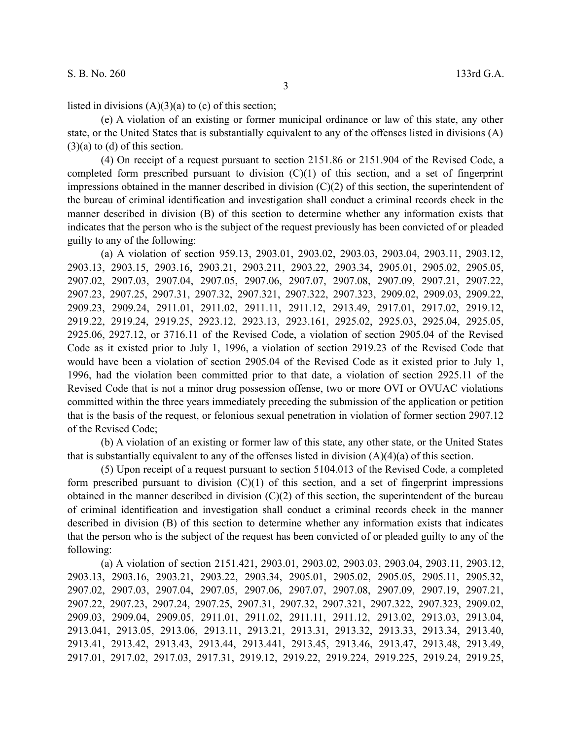listed in divisions  $(A)(3)(a)$  to (c) of this section;

(e) A violation of an existing or former municipal ordinance or law of this state, any other state, or the United States that is substantially equivalent to any of the offenses listed in divisions (A)  $(3)(a)$  to  $(d)$  of this section.

(4) On receipt of a request pursuant to section 2151.86 or 2151.904 of the Revised Code, a completed form prescribed pursuant to division  $(C)(1)$  of this section, and a set of fingerprint impressions obtained in the manner described in division  $(C)(2)$  of this section, the superintendent of the bureau of criminal identification and investigation shall conduct a criminal records check in the manner described in division (B) of this section to determine whether any information exists that indicates that the person who is the subject of the request previously has been convicted of or pleaded guilty to any of the following:

(a) A violation of section 959.13, 2903.01, 2903.02, 2903.03, 2903.04, 2903.11, 2903.12, 2903.13, 2903.15, 2903.16, 2903.21, 2903.211, 2903.22, 2903.34, 2905.01, 2905.02, 2905.05, 2907.02, 2907.03, 2907.04, 2907.05, 2907.06, 2907.07, 2907.08, 2907.09, 2907.21, 2907.22, 2907.23, 2907.25, 2907.31, 2907.32, 2907.321, 2907.322, 2907.323, 2909.02, 2909.03, 2909.22, 2909.23, 2909.24, 2911.01, 2911.02, 2911.11, 2911.12, 2913.49, 2917.01, 2917.02, 2919.12, 2919.22, 2919.24, 2919.25, 2923.12, 2923.13, 2923.161, 2925.02, 2925.03, 2925.04, 2925.05, 2925.06, 2927.12, or 3716.11 of the Revised Code, a violation of section 2905.04 of the Revised Code as it existed prior to July 1, 1996, a violation of section 2919.23 of the Revised Code that would have been a violation of section 2905.04 of the Revised Code as it existed prior to July 1, 1996, had the violation been committed prior to that date, a violation of section 2925.11 of the Revised Code that is not a minor drug possession offense, two or more OVI or OVUAC violations committed within the three years immediately preceding the submission of the application or petition that is the basis of the request, or felonious sexual penetration in violation of former section 2907.12 of the Revised Code;

(b) A violation of an existing or former law of this state, any other state, or the United States that is substantially equivalent to any of the offenses listed in division  $(A)(4)(a)$  of this section.

(5) Upon receipt of a request pursuant to section 5104.013 of the Revised Code, a completed form prescribed pursuant to division  $(C)(1)$  of this section, and a set of fingerprint impressions obtained in the manner described in division (C)(2) of this section, the superintendent of the bureau of criminal identification and investigation shall conduct a criminal records check in the manner described in division (B) of this section to determine whether any information exists that indicates that the person who is the subject of the request has been convicted of or pleaded guilty to any of the following:

(a) A violation of section 2151.421, 2903.01, 2903.02, 2903.03, 2903.04, 2903.11, 2903.12, 2903.13, 2903.16, 2903.21, 2903.22, 2903.34, 2905.01, 2905.02, 2905.05, 2905.11, 2905.32, 2907.02, 2907.03, 2907.04, 2907.05, 2907.06, 2907.07, 2907.08, 2907.09, 2907.19, 2907.21, 2907.22, 2907.23, 2907.24, 2907.25, 2907.31, 2907.32, 2907.321, 2907.322, 2907.323, 2909.02, 2909.03, 2909.04, 2909.05, 2911.01, 2911.02, 2911.11, 2911.12, 2913.02, 2913.03, 2913.04, 2913.041, 2913.05, 2913.06, 2913.11, 2913.21, 2913.31, 2913.32, 2913.33, 2913.34, 2913.40, 2913.41, 2913.42, 2913.43, 2913.44, 2913.441, 2913.45, 2913.46, 2913.47, 2913.48, 2913.49, 2917.01, 2917.02, 2917.03, 2917.31, 2919.12, 2919.22, 2919.224, 2919.225, 2919.24, 2919.25,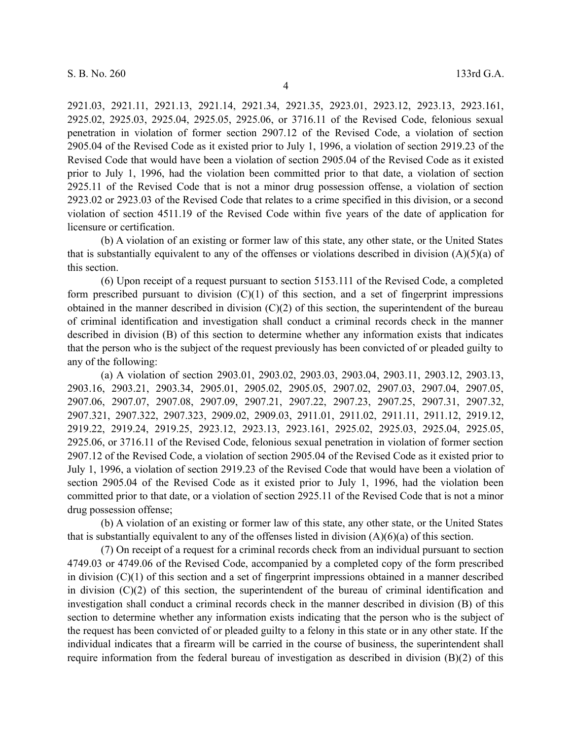2921.03, 2921.11, 2921.13, 2921.14, 2921.34, 2921.35, 2923.01, 2923.12, 2923.13, 2923.161, 2925.02, 2925.03, 2925.04, 2925.05, 2925.06, or 3716.11 of the Revised Code, felonious sexual penetration in violation of former section 2907.12 of the Revised Code, a violation of section 2905.04 of the Revised Code as it existed prior to July 1, 1996, a violation of section 2919.23 of the Revised Code that would have been a violation of section 2905.04 of the Revised Code as it existed prior to July 1, 1996, had the violation been committed prior to that date, a violation of section 2925.11 of the Revised Code that is not a minor drug possession offense, a violation of section 2923.02 or 2923.03 of the Revised Code that relates to a crime specified in this division, or a second violation of section 4511.19 of the Revised Code within five years of the date of application for licensure or certification.

(b) A violation of an existing or former law of this state, any other state, or the United States that is substantially equivalent to any of the offenses or violations described in division  $(A)(5)(a)$  of this section.

(6) Upon receipt of a request pursuant to section 5153.111 of the Revised Code, a completed form prescribed pursuant to division  $(C)(1)$  of this section, and a set of fingerprint impressions obtained in the manner described in division (C)(2) of this section, the superintendent of the bureau of criminal identification and investigation shall conduct a criminal records check in the manner described in division (B) of this section to determine whether any information exists that indicates that the person who is the subject of the request previously has been convicted of or pleaded guilty to any of the following:

(a) A violation of section 2903.01, 2903.02, 2903.03, 2903.04, 2903.11, 2903.12, 2903.13, 2903.16, 2903.21, 2903.34, 2905.01, 2905.02, 2905.05, 2907.02, 2907.03, 2907.04, 2907.05, 2907.06, 2907.07, 2907.08, 2907.09, 2907.21, 2907.22, 2907.23, 2907.25, 2907.31, 2907.32, 2907.321, 2907.322, 2907.323, 2909.02, 2909.03, 2911.01, 2911.02, 2911.11, 2911.12, 2919.12, 2919.22, 2919.24, 2919.25, 2923.12, 2923.13, 2923.161, 2925.02, 2925.03, 2925.04, 2925.05, 2925.06, or 3716.11 of the Revised Code, felonious sexual penetration in violation of former section 2907.12 of the Revised Code, a violation of section 2905.04 of the Revised Code as it existed prior to July 1, 1996, a violation of section 2919.23 of the Revised Code that would have been a violation of section 2905.04 of the Revised Code as it existed prior to July 1, 1996, had the violation been committed prior to that date, or a violation of section 2925.11 of the Revised Code that is not a minor drug possession offense;

(b) A violation of an existing or former law of this state, any other state, or the United States that is substantially equivalent to any of the offenses listed in division  $(A)(6)(a)$  of this section.

(7) On receipt of a request for a criminal records check from an individual pursuant to section 4749.03 or 4749.06 of the Revised Code, accompanied by a completed copy of the form prescribed in division (C)(1) of this section and a set of fingerprint impressions obtained in a manner described in division  $(C)(2)$  of this section, the superintendent of the bureau of criminal identification and investigation shall conduct a criminal records check in the manner described in division (B) of this section to determine whether any information exists indicating that the person who is the subject of the request has been convicted of or pleaded guilty to a felony in this state or in any other state. If the individual indicates that a firearm will be carried in the course of business, the superintendent shall require information from the federal bureau of investigation as described in division (B)(2) of this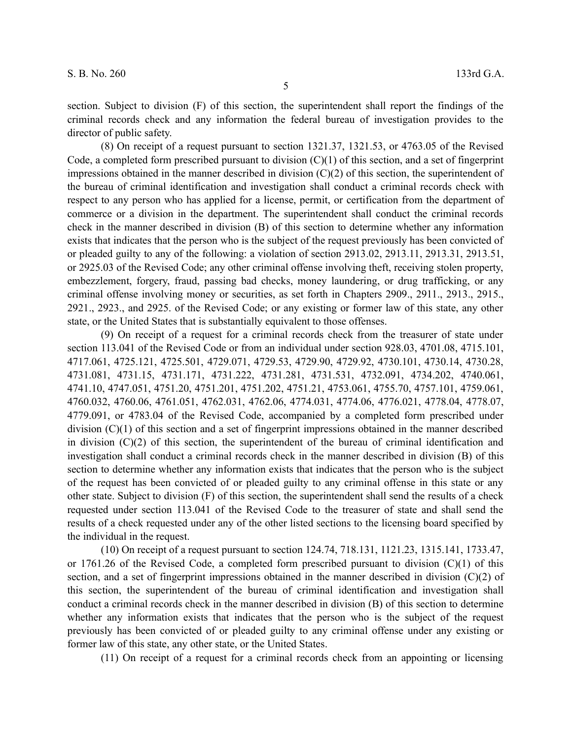section. Subject to division (F) of this section, the superintendent shall report the findings of the criminal records check and any information the federal bureau of investigation provides to the director of public safety.

(8) On receipt of a request pursuant to section 1321.37, 1321.53, or 4763.05 of the Revised Code, a completed form prescribed pursuant to division  $(C)(1)$  of this section, and a set of fingerprint impressions obtained in the manner described in division  $(C)(2)$  of this section, the superintendent of the bureau of criminal identification and investigation shall conduct a criminal records check with respect to any person who has applied for a license, permit, or certification from the department of commerce or a division in the department. The superintendent shall conduct the criminal records check in the manner described in division (B) of this section to determine whether any information exists that indicates that the person who is the subject of the request previously has been convicted of or pleaded guilty to any of the following: a violation of section 2913.02, 2913.11, 2913.31, 2913.51, or 2925.03 of the Revised Code; any other criminal offense involving theft, receiving stolen property, embezzlement, forgery, fraud, passing bad checks, money laundering, or drug trafficking, or any criminal offense involving money or securities, as set forth in Chapters 2909., 2911., 2913., 2915., 2921., 2923., and 2925. of the Revised Code; or any existing or former law of this state, any other state, or the United States that is substantially equivalent to those offenses.

(9) On receipt of a request for a criminal records check from the treasurer of state under section 113.041 of the Revised Code or from an individual under section 928.03, 4701.08, 4715.101, 4717.061, 4725.121, 4725.501, 4729.071, 4729.53, 4729.90, 4729.92, 4730.101, 4730.14, 4730.28, 4731.081, 4731.15, 4731.171, 4731.222, 4731.281, 4731.531, 4732.091, 4734.202, 4740.061, 4741.10, 4747.051, 4751.20, 4751.201, 4751.202, 4751.21, 4753.061, 4755.70, 4757.101, 4759.061, 4760.032, 4760.06, 4761.051, 4762.031, 4762.06, 4774.031, 4774.06, 4776.021, 4778.04, 4778.07, 4779.091, or 4783.04 of the Revised Code, accompanied by a completed form prescribed under division (C)(1) of this section and a set of fingerprint impressions obtained in the manner described in division (C)(2) of this section, the superintendent of the bureau of criminal identification and investigation shall conduct a criminal records check in the manner described in division (B) of this section to determine whether any information exists that indicates that the person who is the subject of the request has been convicted of or pleaded guilty to any criminal offense in this state or any other state. Subject to division (F) of this section, the superintendent shall send the results of a check requested under section 113.041 of the Revised Code to the treasurer of state and shall send the results of a check requested under any of the other listed sections to the licensing board specified by the individual in the request.

(10) On receipt of a request pursuant to section 124.74, 718.131, 1121.23, 1315.141, 1733.47, or 1761.26 of the Revised Code, a completed form prescribed pursuant to division  $(C)(1)$  of this section, and a set of fingerprint impressions obtained in the manner described in division (C)(2) of this section, the superintendent of the bureau of criminal identification and investigation shall conduct a criminal records check in the manner described in division (B) of this section to determine whether any information exists that indicates that the person who is the subject of the request previously has been convicted of or pleaded guilty to any criminal offense under any existing or former law of this state, any other state, or the United States.

(11) On receipt of a request for a criminal records check from an appointing or licensing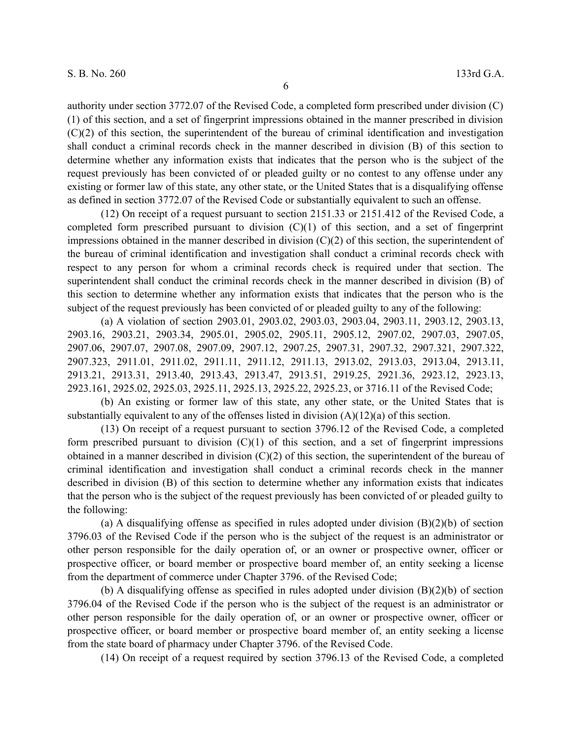authority under section 3772.07 of the Revised Code, a completed form prescribed under division (C) (1) of this section, and a set of fingerprint impressions obtained in the manner prescribed in division (C)(2) of this section, the superintendent of the bureau of criminal identification and investigation shall conduct a criminal records check in the manner described in division (B) of this section to determine whether any information exists that indicates that the person who is the subject of the request previously has been convicted of or pleaded guilty or no contest to any offense under any existing or former law of this state, any other state, or the United States that is a disqualifying offense as defined in section 3772.07 of the Revised Code or substantially equivalent to such an offense.

(12) On receipt of a request pursuant to section 2151.33 or 2151.412 of the Revised Code, a completed form prescribed pursuant to division  $(C)(1)$  of this section, and a set of fingerprint impressions obtained in the manner described in division  $(C)(2)$  of this section, the superintendent of the bureau of criminal identification and investigation shall conduct a criminal records check with respect to any person for whom a criminal records check is required under that section. The superintendent shall conduct the criminal records check in the manner described in division (B) of this section to determine whether any information exists that indicates that the person who is the subject of the request previously has been convicted of or pleaded guilty to any of the following:

(a) A violation of section 2903.01, 2903.02, 2903.03, 2903.04, 2903.11, 2903.12, 2903.13, 2903.16, 2903.21, 2903.34, 2905.01, 2905.02, 2905.11, 2905.12, 2907.02, 2907.03, 2907.05, 2907.06, 2907.07, 2907.08, 2907.09, 2907.12, 2907.25, 2907.31, 2907.32, 2907.321, 2907.322, 2907.323, 2911.01, 2911.02, 2911.11, 2911.12, 2911.13, 2913.02, 2913.03, 2913.04, 2913.11, 2913.21, 2913.31, 2913.40, 2913.43, 2913.47, 2913.51, 2919.25, 2921.36, 2923.12, 2923.13, 2923.161, 2925.02, 2925.03, 2925.11, 2925.13, 2925.22, 2925.23, or 3716.11 of the Revised Code;

(b) An existing or former law of this state, any other state, or the United States that is substantially equivalent to any of the offenses listed in division  $(A)(12)(a)$  of this section.

(13) On receipt of a request pursuant to section 3796.12 of the Revised Code, a completed form prescribed pursuant to division  $(C)(1)$  of this section, and a set of fingerprint impressions obtained in a manner described in division (C)(2) of this section, the superintendent of the bureau of criminal identification and investigation shall conduct a criminal records check in the manner described in division (B) of this section to determine whether any information exists that indicates that the person who is the subject of the request previously has been convicted of or pleaded guilty to the following:

(a) A disqualifying offense as specified in rules adopted under division (B)(2)(b) of section 3796.03 of the Revised Code if the person who is the subject of the request is an administrator or other person responsible for the daily operation of, or an owner or prospective owner, officer or prospective officer, or board member or prospective board member of, an entity seeking a license from the department of commerce under Chapter 3796. of the Revised Code;

(b) A disqualifying offense as specified in rules adopted under division (B)(2)(b) of section 3796.04 of the Revised Code if the person who is the subject of the request is an administrator or other person responsible for the daily operation of, or an owner or prospective owner, officer or prospective officer, or board member or prospective board member of, an entity seeking a license from the state board of pharmacy under Chapter 3796. of the Revised Code.

(14) On receipt of a request required by section 3796.13 of the Revised Code, a completed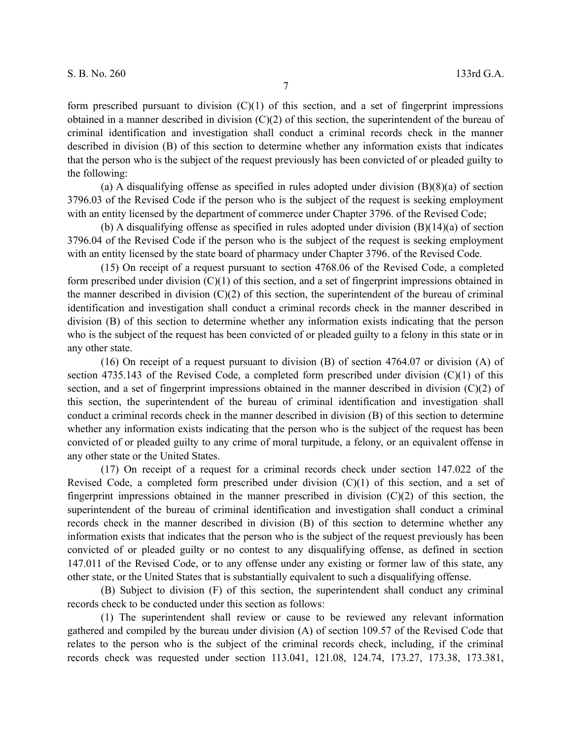form prescribed pursuant to division  $(C)(1)$  of this section, and a set of fingerprint impressions obtained in a manner described in division (C)(2) of this section, the superintendent of the bureau of criminal identification and investigation shall conduct a criminal records check in the manner described in division (B) of this section to determine whether any information exists that indicates that the person who is the subject of the request previously has been convicted of or pleaded guilty to the following:

(a) A disqualifying offense as specified in rules adopted under division (B)(8)(a) of section 3796.03 of the Revised Code if the person who is the subject of the request is seeking employment with an entity licensed by the department of commerce under Chapter 3796. of the Revised Code;

(b) A disqualifying offense as specified in rules adopted under division (B)(14)(a) of section 3796.04 of the Revised Code if the person who is the subject of the request is seeking employment with an entity licensed by the state board of pharmacy under Chapter 3796. of the Revised Code.

(15) On receipt of a request pursuant to section 4768.06 of the Revised Code, a completed form prescribed under division (C)(1) of this section, and a set of fingerprint impressions obtained in the manner described in division  $(C)(2)$  of this section, the superintendent of the bureau of criminal identification and investigation shall conduct a criminal records check in the manner described in division (B) of this section to determine whether any information exists indicating that the person who is the subject of the request has been convicted of or pleaded guilty to a felony in this state or in any other state.

(16) On receipt of a request pursuant to division (B) of section 4764.07 or division (A) of section 4735.143 of the Revised Code, a completed form prescribed under division  $(C)(1)$  of this section, and a set of fingerprint impressions obtained in the manner described in division (C)(2) of this section, the superintendent of the bureau of criminal identification and investigation shall conduct a criminal records check in the manner described in division (B) of this section to determine whether any information exists indicating that the person who is the subject of the request has been convicted of or pleaded guilty to any crime of moral turpitude, a felony, or an equivalent offense in any other state or the United States.

(17) On receipt of a request for a criminal records check under section 147.022 of the Revised Code, a completed form prescribed under division  $(C)(1)$  of this section, and a set of fingerprint impressions obtained in the manner prescribed in division  $(C)(2)$  of this section, the superintendent of the bureau of criminal identification and investigation shall conduct a criminal records check in the manner described in division (B) of this section to determine whether any information exists that indicates that the person who is the subject of the request previously has been convicted of or pleaded guilty or no contest to any disqualifying offense, as defined in section 147.011 of the Revised Code, or to any offense under any existing or former law of this state, any other state, or the United States that is substantially equivalent to such a disqualifying offense.

(B) Subject to division (F) of this section, the superintendent shall conduct any criminal records check to be conducted under this section as follows:

(1) The superintendent shall review or cause to be reviewed any relevant information gathered and compiled by the bureau under division (A) of section 109.57 of the Revised Code that relates to the person who is the subject of the criminal records check, including, if the criminal records check was requested under section 113.041, 121.08, 124.74, 173.27, 173.38, 173.381,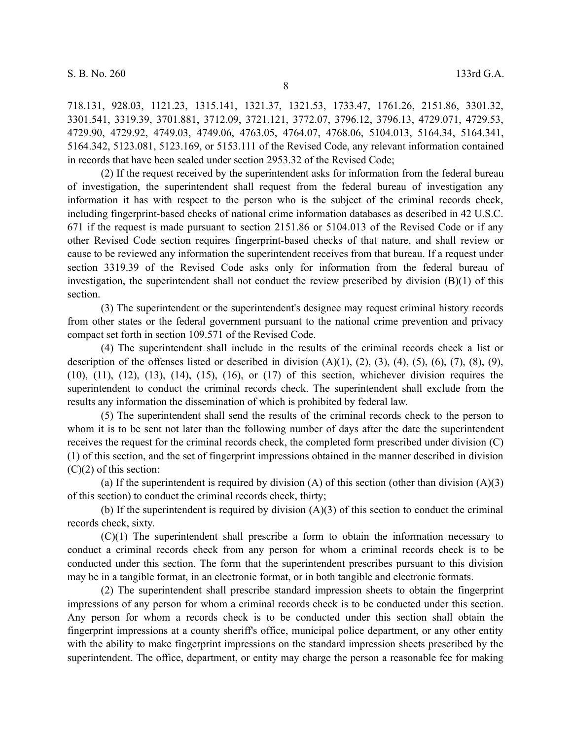8

718.131, 928.03, 1121.23, 1315.141, 1321.37, 1321.53, 1733.47, 1761.26, 2151.86, 3301.32, 3301.541, 3319.39, 3701.881, 3712.09, 3721.121, 3772.07, 3796.12, 3796.13, 4729.071, 4729.53, 4729.90, 4729.92, 4749.03, 4749.06, 4763.05, 4764.07, 4768.06, 5104.013, 5164.34, 5164.341, 5164.342, 5123.081, 5123.169, or 5153.111 of the Revised Code, any relevant information contained in records that have been sealed under section 2953.32 of the Revised Code;

(2) If the request received by the superintendent asks for information from the federal bureau of investigation, the superintendent shall request from the federal bureau of investigation any information it has with respect to the person who is the subject of the criminal records check, including fingerprint-based checks of national crime information databases as described in 42 U.S.C. 671 if the request is made pursuant to section 2151.86 or 5104.013 of the Revised Code or if any other Revised Code section requires fingerprint-based checks of that nature, and shall review or cause to be reviewed any information the superintendent receives from that bureau. If a request under section 3319.39 of the Revised Code asks only for information from the federal bureau of investigation, the superintendent shall not conduct the review prescribed by division  $(B)(1)$  of this section.

(3) The superintendent or the superintendent's designee may request criminal history records from other states or the federal government pursuant to the national crime prevention and privacy compact set forth in section 109.571 of the Revised Code.

(4) The superintendent shall include in the results of the criminal records check a list or description of the offenses listed or described in division  $(A)(1)$ ,  $(2)$ ,  $(3)$ ,  $(4)$ ,  $(5)$ ,  $(6)$ ,  $(7)$ ,  $(8)$ ,  $(9)$ , (10), (11), (12), (13), (14), (15), (16), or (17) of this section, whichever division requires the superintendent to conduct the criminal records check. The superintendent shall exclude from the results any information the dissemination of which is prohibited by federal law.

(5) The superintendent shall send the results of the criminal records check to the person to whom it is to be sent not later than the following number of days after the date the superintendent receives the request for the criminal records check, the completed form prescribed under division (C) (1) of this section, and the set of fingerprint impressions obtained in the manner described in division  $(C)(2)$  of this section:

(a) If the superintendent is required by division (A) of this section (other than division (A)(3) of this section) to conduct the criminal records check, thirty;

(b) If the superintendent is required by division  $(A)(3)$  of this section to conduct the criminal records check, sixty.

(C)(1) The superintendent shall prescribe a form to obtain the information necessary to conduct a criminal records check from any person for whom a criminal records check is to be conducted under this section. The form that the superintendent prescribes pursuant to this division may be in a tangible format, in an electronic format, or in both tangible and electronic formats.

(2) The superintendent shall prescribe standard impression sheets to obtain the fingerprint impressions of any person for whom a criminal records check is to be conducted under this section. Any person for whom a records check is to be conducted under this section shall obtain the fingerprint impressions at a county sheriff's office, municipal police department, or any other entity with the ability to make fingerprint impressions on the standard impression sheets prescribed by the superintendent. The office, department, or entity may charge the person a reasonable fee for making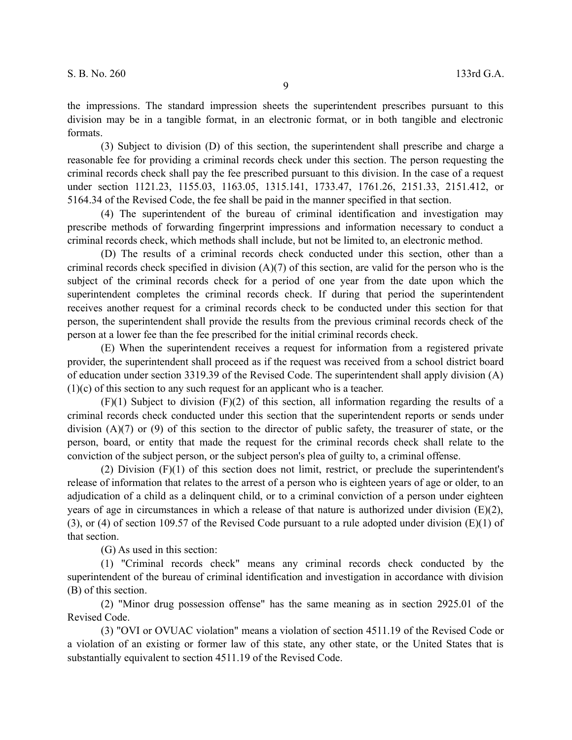the impressions. The standard impression sheets the superintendent prescribes pursuant to this division may be in a tangible format, in an electronic format, or in both tangible and electronic formats.

(3) Subject to division (D) of this section, the superintendent shall prescribe and charge a reasonable fee for providing a criminal records check under this section. The person requesting the criminal records check shall pay the fee prescribed pursuant to this division. In the case of a request under section 1121.23, 1155.03, 1163.05, 1315.141, 1733.47, 1761.26, 2151.33, 2151.412, or 5164.34 of the Revised Code, the fee shall be paid in the manner specified in that section.

(4) The superintendent of the bureau of criminal identification and investigation may prescribe methods of forwarding fingerprint impressions and information necessary to conduct a criminal records check, which methods shall include, but not be limited to, an electronic method.

(D) The results of a criminal records check conducted under this section, other than a criminal records check specified in division  $(A)(7)$  of this section, are valid for the person who is the subject of the criminal records check for a period of one year from the date upon which the superintendent completes the criminal records check. If during that period the superintendent receives another request for a criminal records check to be conducted under this section for that person, the superintendent shall provide the results from the previous criminal records check of the person at a lower fee than the fee prescribed for the initial criminal records check.

(E) When the superintendent receives a request for information from a registered private provider, the superintendent shall proceed as if the request was received from a school district board of education under section 3319.39 of the Revised Code. The superintendent shall apply division (A) (1)(c) of this section to any such request for an applicant who is a teacher.

(F)(1) Subject to division (F)(2) of this section, all information regarding the results of a criminal records check conducted under this section that the superintendent reports or sends under division (A)(7) or (9) of this section to the director of public safety, the treasurer of state, or the person, board, or entity that made the request for the criminal records check shall relate to the conviction of the subject person, or the subject person's plea of guilty to, a criminal offense.

(2) Division (F)(1) of this section does not limit, restrict, or preclude the superintendent's release of information that relates to the arrest of a person who is eighteen years of age or older, to an adjudication of a child as a delinquent child, or to a criminal conviction of a person under eighteen years of age in circumstances in which a release of that nature is authorized under division (E)(2), (3), or (4) of section 109.57 of the Revised Code pursuant to a rule adopted under division (E)(1) of that section.

(G) As used in this section:

(1) "Criminal records check" means any criminal records check conducted by the superintendent of the bureau of criminal identification and investigation in accordance with division (B) of this section.

(2) "Minor drug possession offense" has the same meaning as in section 2925.01 of the Revised Code.

(3) "OVI or OVUAC violation" means a violation of section 4511.19 of the Revised Code or a violation of an existing or former law of this state, any other state, or the United States that is substantially equivalent to section 4511.19 of the Revised Code.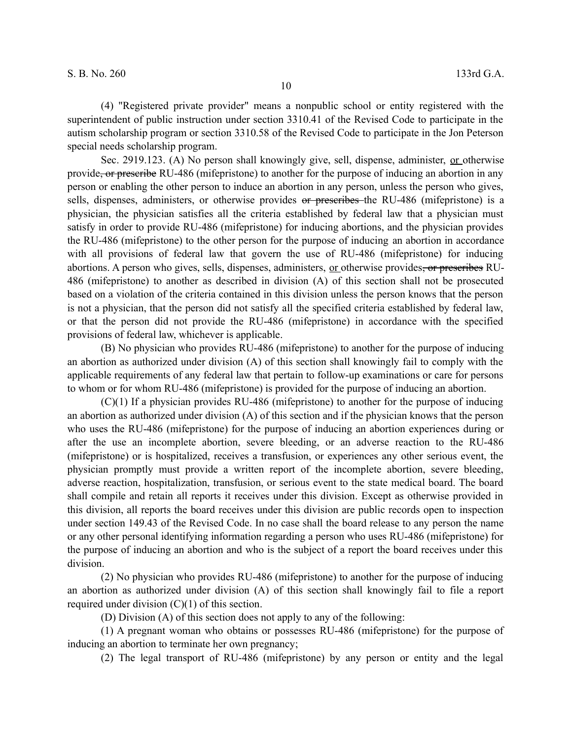(4) "Registered private provider" means a nonpublic school or entity registered with the superintendent of public instruction under section 3310.41 of the Revised Code to participate in the autism scholarship program or section 3310.58 of the Revised Code to participate in the Jon Peterson special needs scholarship program.

Sec. 2919.123. (A) No person shall knowingly give, sell, dispense, administer, or otherwise provide<del>, or prescribe</del> RU-486 (mifepristone) to another for the purpose of inducing an abortion in any person or enabling the other person to induce an abortion in any person, unless the person who gives, sells, dispenses, administers, or otherwise provides or prescribes the RU-486 (mifepristone) is a physician, the physician satisfies all the criteria established by federal law that a physician must satisfy in order to provide RU-486 (mifepristone) for inducing abortions, and the physician provides the RU-486 (mifepristone) to the other person for the purpose of inducing an abortion in accordance with all provisions of federal law that govern the use of RU-486 (mifepristone) for inducing abortions. A person who gives, sells, dispenses, administers, <u>or</u> otherwise provides<del>, or prescribes</del> RU-486 (mifepristone) to another as described in division (A) of this section shall not be prosecuted based on a violation of the criteria contained in this division unless the person knows that the person is not a physician, that the person did not satisfy all the specified criteria established by federal law, or that the person did not provide the RU-486 (mifepristone) in accordance with the specified provisions of federal law, whichever is applicable.

(B) No physician who provides RU-486 (mifepristone) to another for the purpose of inducing an abortion as authorized under division (A) of this section shall knowingly fail to comply with the applicable requirements of any federal law that pertain to follow-up examinations or care for persons to whom or for whom RU-486 (mifepristone) is provided for the purpose of inducing an abortion.

(C)(1) If a physician provides RU-486 (mifepristone) to another for the purpose of inducing an abortion as authorized under division (A) of this section and if the physician knows that the person who uses the RU-486 (mifepristone) for the purpose of inducing an abortion experiences during or after the use an incomplete abortion, severe bleeding, or an adverse reaction to the RU-486 (mifepristone) or is hospitalized, receives a transfusion, or experiences any other serious event, the physician promptly must provide a written report of the incomplete abortion, severe bleeding, adverse reaction, hospitalization, transfusion, or serious event to the state medical board. The board shall compile and retain all reports it receives under this division. Except as otherwise provided in this division, all reports the board receives under this division are public records open to inspection under section 149.43 of the Revised Code. In no case shall the board release to any person the name or any other personal identifying information regarding a person who uses RU-486 (mifepristone) for the purpose of inducing an abortion and who is the subject of a report the board receives under this division.

(2) No physician who provides RU-486 (mifepristone) to another for the purpose of inducing an abortion as authorized under division (A) of this section shall knowingly fail to file a report required under division  $(C)(1)$  of this section.

(D) Division (A) of this section does not apply to any of the following:

(1) A pregnant woman who obtains or possesses RU-486 (mifepristone) for the purpose of inducing an abortion to terminate her own pregnancy;

(2) The legal transport of RU-486 (mifepristone) by any person or entity and the legal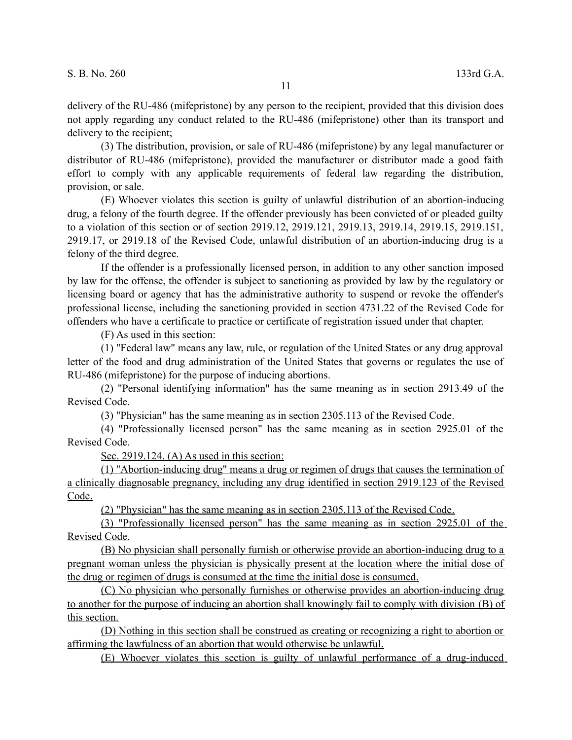delivery of the RU-486 (mifepristone) by any person to the recipient, provided that this division does not apply regarding any conduct related to the RU-486 (mifepristone) other than its transport and delivery to the recipient;

(3) The distribution, provision, or sale of RU-486 (mifepristone) by any legal manufacturer or distributor of RU-486 (mifepristone), provided the manufacturer or distributor made a good faith effort to comply with any applicable requirements of federal law regarding the distribution, provision, or sale.

(E) Whoever violates this section is guilty of unlawful distribution of an abortion-inducing drug, a felony of the fourth degree. If the offender previously has been convicted of or pleaded guilty to a violation of this section or of section 2919.12, 2919.121, 2919.13, 2919.14, 2919.15, 2919.151, 2919.17, or 2919.18 of the Revised Code, unlawful distribution of an abortion-inducing drug is a felony of the third degree.

If the offender is a professionally licensed person, in addition to any other sanction imposed by law for the offense, the offender is subject to sanctioning as provided by law by the regulatory or licensing board or agency that has the administrative authority to suspend or revoke the offender's professional license, including the sanctioning provided in section 4731.22 of the Revised Code for offenders who have a certificate to practice or certificate of registration issued under that chapter.

(F) As used in this section:

(1) "Federal law" means any law, rule, or regulation of the United States or any drug approval letter of the food and drug administration of the United States that governs or regulates the use of RU-486 (mifepristone) for the purpose of inducing abortions.

(2) "Personal identifying information" has the same meaning as in section 2913.49 of the Revised Code.

(3) "Physician" has the same meaning as in section 2305.113 of the Revised Code.

(4) "Professionally licensed person" has the same meaning as in section 2925.01 of the Revised Code.

Sec. 2919.124. (A) As used in this section:

(1) "Abortion-inducing drug" means a drug or regimen of drugs that causes the termination of a clinically diagnosable pregnancy, including any drug identified in section 2919.123 of the Revised Code.

(2) "Physician" has the same meaning as in section 2305.113 of the Revised Code.

(3) "Professionally licensed person" has the same meaning as in section 2925.01 of the Revised Code.

(B) No physician shall personally furnish or otherwise provide an abortion-inducing drug to a pregnant woman unless the physician is physically present at the location where the initial dose of the drug or regimen of drugs is consumed at the time the initial dose is consumed.

 (C) No physician who personally furnishes or otherwise provides an abortion-inducing drug to another for the purpose of inducing an abortion shall knowingly fail to comply with division (B) of this section.

 (D) Nothing in this section shall be construed as creating or recognizing a right to abortion or affirming the lawfulness of an abortion that would otherwise be unlawful.

(E) Whoever violates this section is guilty of unlawful performance of a drug-induced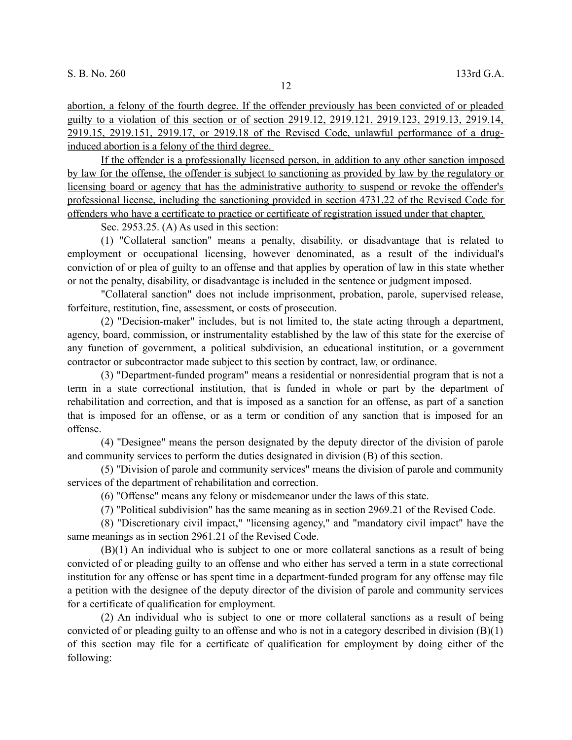abortion, a felony of the fourth degree. If the offender previously has been convicted of or pleaded guilty to a violation of this section or of section 2919.12, 2919.121, 2919.123, 2919.13, 2919.14, 2919.15, 2919.151, 2919.17, or 2919.18 of the Revised Code, unlawful performance of a druginduced abortion is a felony of the third degree.

 If the offender is a professionally licensed person, in addition to any other sanction imposed by law for the offense, the offender is subject to sanctioning as provided by law by the regulatory or licensing board or agency that has the administrative authority to suspend or revoke the offender's professional license, including the sanctioning provided in section 4731.22 of the Revised Code for offenders who have a certificate to practice or certificate of registration issued under that chapter.

Sec. 2953.25. (A) As used in this section:

(1) "Collateral sanction" means a penalty, disability, or disadvantage that is related to employment or occupational licensing, however denominated, as a result of the individual's conviction of or plea of guilty to an offense and that applies by operation of law in this state whether or not the penalty, disability, or disadvantage is included in the sentence or judgment imposed.

"Collateral sanction" does not include imprisonment, probation, parole, supervised release, forfeiture, restitution, fine, assessment, or costs of prosecution.

(2) "Decision-maker" includes, but is not limited to, the state acting through a department, agency, board, commission, or instrumentality established by the law of this state for the exercise of any function of government, a political subdivision, an educational institution, or a government contractor or subcontractor made subject to this section by contract, law, or ordinance.

(3) "Department-funded program" means a residential or nonresidential program that is not a term in a state correctional institution, that is funded in whole or part by the department of rehabilitation and correction, and that is imposed as a sanction for an offense, as part of a sanction that is imposed for an offense, or as a term or condition of any sanction that is imposed for an offense.

(4) "Designee" means the person designated by the deputy director of the division of parole and community services to perform the duties designated in division (B) of this section.

(5) "Division of parole and community services" means the division of parole and community services of the department of rehabilitation and correction.

(6) "Offense" means any felony or misdemeanor under the laws of this state.

(7) "Political subdivision" has the same meaning as in section 2969.21 of the Revised Code.

(8) "Discretionary civil impact," "licensing agency," and "mandatory civil impact" have the same meanings as in section 2961.21 of the Revised Code.

(B)(1) An individual who is subject to one or more collateral sanctions as a result of being convicted of or pleading guilty to an offense and who either has served a term in a state correctional institution for any offense or has spent time in a department-funded program for any offense may file a petition with the designee of the deputy director of the division of parole and community services for a certificate of qualification for employment.

(2) An individual who is subject to one or more collateral sanctions as a result of being convicted of or pleading guilty to an offense and who is not in a category described in division  $(B)(1)$ of this section may file for a certificate of qualification for employment by doing either of the following: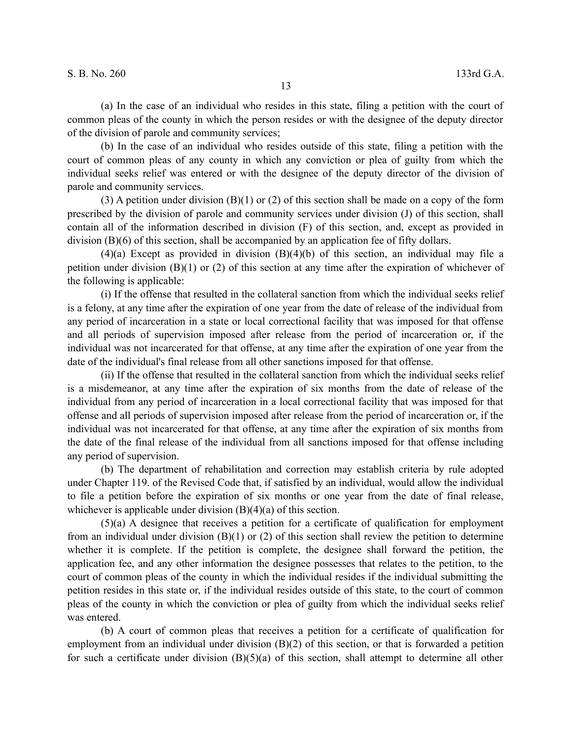(a) In the case of an individual who resides in this state, filing a petition with the court of common pleas of the county in which the person resides or with the designee of the deputy director of the division of parole and community services;

(b) In the case of an individual who resides outside of this state, filing a petition with the court of common pleas of any county in which any conviction or plea of guilty from which the individual seeks relief was entered or with the designee of the deputy director of the division of parole and community services.

(3) A petition under division (B)(1) or (2) of this section shall be made on a copy of the form prescribed by the division of parole and community services under division (J) of this section, shall contain all of the information described in division (F) of this section, and, except as provided in division (B)(6) of this section, shall be accompanied by an application fee of fifty dollars.

 $(4)(a)$  Except as provided in division  $(B)(4)(b)$  of this section, an individual may file a petition under division (B)(1) or (2) of this section at any time after the expiration of whichever of the following is applicable:

(i) If the offense that resulted in the collateral sanction from which the individual seeks relief is a felony, at any time after the expiration of one year from the date of release of the individual from any period of incarceration in a state or local correctional facility that was imposed for that offense and all periods of supervision imposed after release from the period of incarceration or, if the individual was not incarcerated for that offense, at any time after the expiration of one year from the date of the individual's final release from all other sanctions imposed for that offense.

(ii) If the offense that resulted in the collateral sanction from which the individual seeks relief is a misdemeanor, at any time after the expiration of six months from the date of release of the individual from any period of incarceration in a local correctional facility that was imposed for that offense and all periods of supervision imposed after release from the period of incarceration or, if the individual was not incarcerated for that offense, at any time after the expiration of six months from the date of the final release of the individual from all sanctions imposed for that offense including any period of supervision.

(b) The department of rehabilitation and correction may establish criteria by rule adopted under Chapter 119. of the Revised Code that, if satisfied by an individual, would allow the individual to file a petition before the expiration of six months or one year from the date of final release, whichever is applicable under division (B)(4)(a) of this section.

(5)(a) A designee that receives a petition for a certificate of qualification for employment from an individual under division  $(B)(1)$  or  $(2)$  of this section shall review the petition to determine whether it is complete. If the petition is complete, the designee shall forward the petition, the application fee, and any other information the designee possesses that relates to the petition, to the court of common pleas of the county in which the individual resides if the individual submitting the petition resides in this state or, if the individual resides outside of this state, to the court of common pleas of the county in which the conviction or plea of guilty from which the individual seeks relief was entered.

(b) A court of common pleas that receives a petition for a certificate of qualification for employment from an individual under division (B)(2) of this section, or that is forwarded a petition for such a certificate under division  $(B)(5)(a)$  of this section, shall attempt to determine all other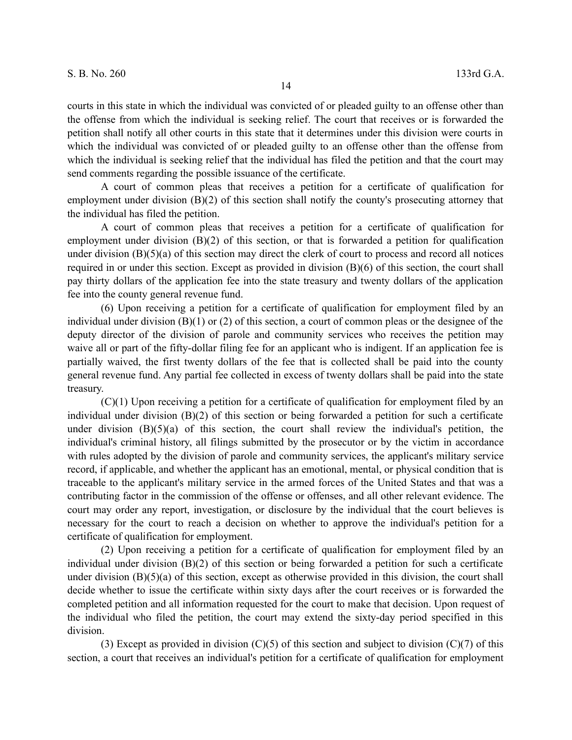courts in this state in which the individual was convicted of or pleaded guilty to an offense other than the offense from which the individual is seeking relief. The court that receives or is forwarded the petition shall notify all other courts in this state that it determines under this division were courts in which the individual was convicted of or pleaded guilty to an offense other than the offense from which the individual is seeking relief that the individual has filed the petition and that the court may send comments regarding the possible issuance of the certificate.

A court of common pleas that receives a petition for a certificate of qualification for employment under division (B)(2) of this section shall notify the county's prosecuting attorney that the individual has filed the petition.

A court of common pleas that receives a petition for a certificate of qualification for employment under division (B)(2) of this section, or that is forwarded a petition for qualification under division (B)(5)(a) of this section may direct the clerk of court to process and record all notices required in or under this section. Except as provided in division (B)(6) of this section, the court shall pay thirty dollars of the application fee into the state treasury and twenty dollars of the application fee into the county general revenue fund.

(6) Upon receiving a petition for a certificate of qualification for employment filed by an individual under division (B)(1) or (2) of this section, a court of common pleas or the designee of the deputy director of the division of parole and community services who receives the petition may waive all or part of the fifty-dollar filing fee for an applicant who is indigent. If an application fee is partially waived, the first twenty dollars of the fee that is collected shall be paid into the county general revenue fund. Any partial fee collected in excess of twenty dollars shall be paid into the state treasury.

(C)(1) Upon receiving a petition for a certificate of qualification for employment filed by an individual under division (B)(2) of this section or being forwarded a petition for such a certificate under division  $(B)(5)(a)$  of this section, the court shall review the individual's petition, the individual's criminal history, all filings submitted by the prosecutor or by the victim in accordance with rules adopted by the division of parole and community services, the applicant's military service record, if applicable, and whether the applicant has an emotional, mental, or physical condition that is traceable to the applicant's military service in the armed forces of the United States and that was a contributing factor in the commission of the offense or offenses, and all other relevant evidence. The court may order any report, investigation, or disclosure by the individual that the court believes is necessary for the court to reach a decision on whether to approve the individual's petition for a certificate of qualification for employment.

(2) Upon receiving a petition for a certificate of qualification for employment filed by an individual under division (B)(2) of this section or being forwarded a petition for such a certificate under division (B)(5)(a) of this section, except as otherwise provided in this division, the court shall decide whether to issue the certificate within sixty days after the court receives or is forwarded the completed petition and all information requested for the court to make that decision. Upon request of the individual who filed the petition, the court may extend the sixty-day period specified in this division.

(3) Except as provided in division  $(C)(5)$  of this section and subject to division  $(C)(7)$  of this section, a court that receives an individual's petition for a certificate of qualification for employment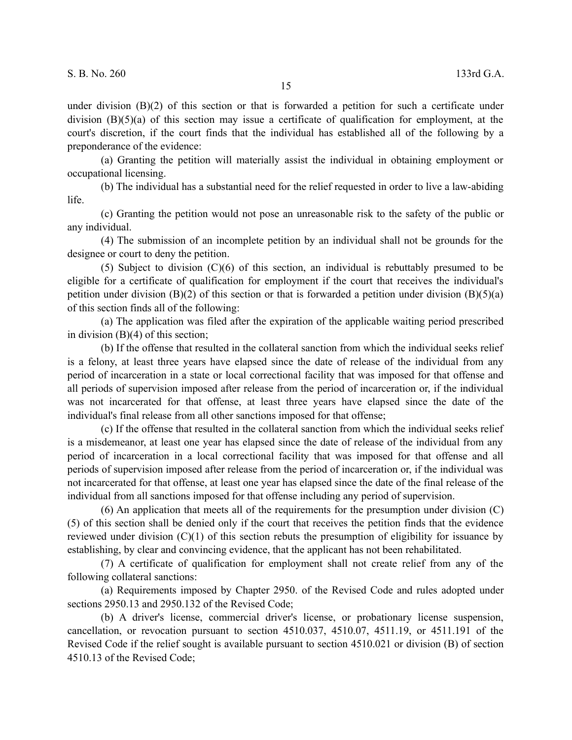under division  $(B)(2)$  of this section or that is forwarded a petition for such a certificate under division  $(B)(5)(a)$  of this section may issue a certificate of qualification for employment, at the court's discretion, if the court finds that the individual has established all of the following by a preponderance of the evidence:

(a) Granting the petition will materially assist the individual in obtaining employment or occupational licensing.

(b) The individual has a substantial need for the relief requested in order to live a law-abiding life.

(c) Granting the petition would not pose an unreasonable risk to the safety of the public or any individual.

(4) The submission of an incomplete petition by an individual shall not be grounds for the designee or court to deny the petition.

(5) Subject to division (C)(6) of this section, an individual is rebuttably presumed to be eligible for a certificate of qualification for employment if the court that receives the individual's petition under division  $(B)(2)$  of this section or that is forwarded a petition under division  $(B)(5)(a)$ of this section finds all of the following:

(a) The application was filed after the expiration of the applicable waiting period prescribed in division (B)(4) of this section;

(b) If the offense that resulted in the collateral sanction from which the individual seeks relief is a felony, at least three years have elapsed since the date of release of the individual from any period of incarceration in a state or local correctional facility that was imposed for that offense and all periods of supervision imposed after release from the period of incarceration or, if the individual was not incarcerated for that offense, at least three years have elapsed since the date of the individual's final release from all other sanctions imposed for that offense;

(c) If the offense that resulted in the collateral sanction from which the individual seeks relief is a misdemeanor, at least one year has elapsed since the date of release of the individual from any period of incarceration in a local correctional facility that was imposed for that offense and all periods of supervision imposed after release from the period of incarceration or, if the individual was not incarcerated for that offense, at least one year has elapsed since the date of the final release of the individual from all sanctions imposed for that offense including any period of supervision.

(6) An application that meets all of the requirements for the presumption under division (C) (5) of this section shall be denied only if the court that receives the petition finds that the evidence reviewed under division  $(C)(1)$  of this section rebuts the presumption of eligibility for issuance by establishing, by clear and convincing evidence, that the applicant has not been rehabilitated.

(7) A certificate of qualification for employment shall not create relief from any of the following collateral sanctions:

(a) Requirements imposed by Chapter 2950. of the Revised Code and rules adopted under sections 2950.13 and 2950.132 of the Revised Code;

(b) A driver's license, commercial driver's license, or probationary license suspension, cancellation, or revocation pursuant to section 4510.037, 4510.07, 4511.19, or 4511.191 of the Revised Code if the relief sought is available pursuant to section 4510.021 or division (B) of section 4510.13 of the Revised Code;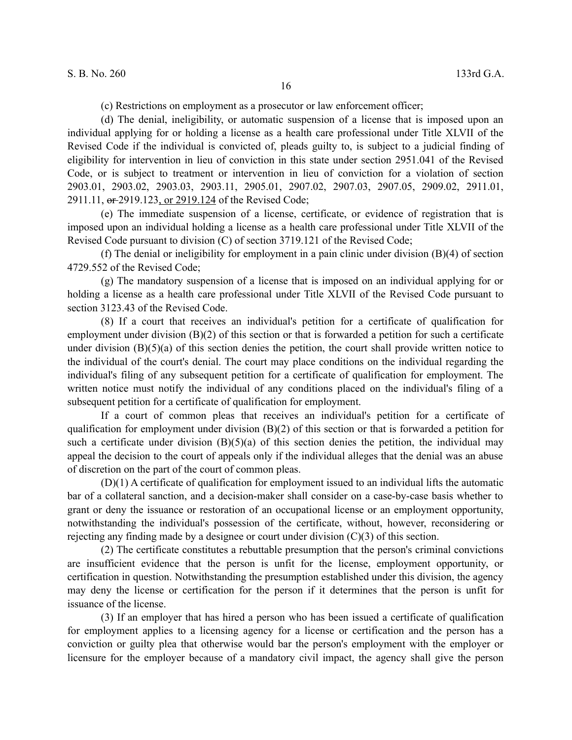(c) Restrictions on employment as a prosecutor or law enforcement officer;

(d) The denial, ineligibility, or automatic suspension of a license that is imposed upon an individual applying for or holding a license as a health care professional under Title XLVII of the Revised Code if the individual is convicted of, pleads guilty to, is subject to a judicial finding of eligibility for intervention in lieu of conviction in this state under section 2951.041 of the Revised Code, or is subject to treatment or intervention in lieu of conviction for a violation of section 2903.01, 2903.02, 2903.03, 2903.11, 2905.01, 2907.02, 2907.03, 2907.05, 2909.02, 2911.01, 2911.11,  $\theta$  = 2919.123, or 2919.124 of the Revised Code;

(e) The immediate suspension of a license, certificate, or evidence of registration that is imposed upon an individual holding a license as a health care professional under Title XLVII of the Revised Code pursuant to division (C) of section 3719.121 of the Revised Code;

(f) The denial or ineligibility for employment in a pain clinic under division (B)(4) of section 4729.552 of the Revised Code;

(g) The mandatory suspension of a license that is imposed on an individual applying for or holding a license as a health care professional under Title XLVII of the Revised Code pursuant to section 3123.43 of the Revised Code.

(8) If a court that receives an individual's petition for a certificate of qualification for employment under division (B)(2) of this section or that is forwarded a petition for such a certificate under division (B)(5)(a) of this section denies the petition, the court shall provide written notice to the individual of the court's denial. The court may place conditions on the individual regarding the individual's filing of any subsequent petition for a certificate of qualification for employment. The written notice must notify the individual of any conditions placed on the individual's filing of a subsequent petition for a certificate of qualification for employment.

If a court of common pleas that receives an individual's petition for a certificate of qualification for employment under division (B)(2) of this section or that is forwarded a petition for such a certificate under division  $(B)(5)(a)$  of this section denies the petition, the individual may appeal the decision to the court of appeals only if the individual alleges that the denial was an abuse of discretion on the part of the court of common pleas.

(D)(1) A certificate of qualification for employment issued to an individual lifts the automatic bar of a collateral sanction, and a decision-maker shall consider on a case-by-case basis whether to grant or deny the issuance or restoration of an occupational license or an employment opportunity, notwithstanding the individual's possession of the certificate, without, however, reconsidering or rejecting any finding made by a designee or court under division  $(C)(3)$  of this section.

(2) The certificate constitutes a rebuttable presumption that the person's criminal convictions are insufficient evidence that the person is unfit for the license, employment opportunity, or certification in question. Notwithstanding the presumption established under this division, the agency may deny the license or certification for the person if it determines that the person is unfit for issuance of the license.

(3) If an employer that has hired a person who has been issued a certificate of qualification for employment applies to a licensing agency for a license or certification and the person has a conviction or guilty plea that otherwise would bar the person's employment with the employer or licensure for the employer because of a mandatory civil impact, the agency shall give the person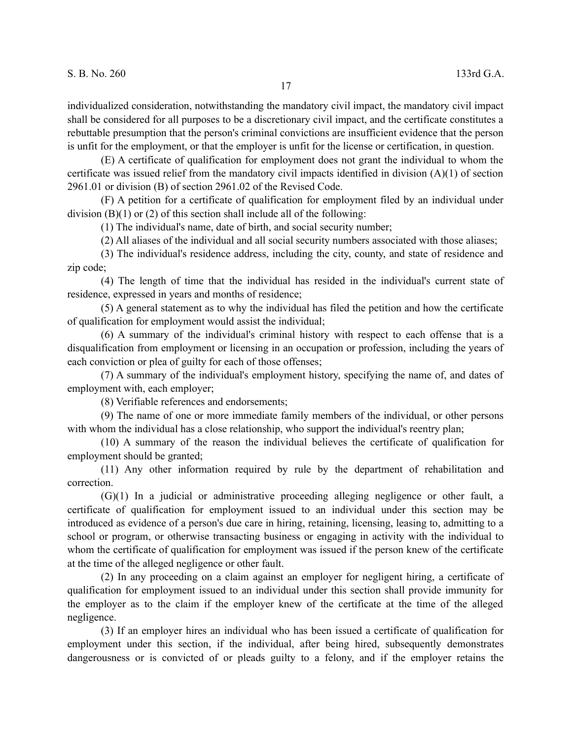individualized consideration, notwithstanding the mandatory civil impact, the mandatory civil impact shall be considered for all purposes to be a discretionary civil impact, and the certificate constitutes a rebuttable presumption that the person's criminal convictions are insufficient evidence that the person is unfit for the employment, or that the employer is unfit for the license or certification, in question.

(E) A certificate of qualification for employment does not grant the individual to whom the certificate was issued relief from the mandatory civil impacts identified in division (A)(1) of section 2961.01 or division (B) of section 2961.02 of the Revised Code.

(F) A petition for a certificate of qualification for employment filed by an individual under division  $(B)(1)$  or  $(2)$  of this section shall include all of the following:

(1) The individual's name, date of birth, and social security number;

(2) All aliases of the individual and all social security numbers associated with those aliases;

(3) The individual's residence address, including the city, county, and state of residence and zip code;

(4) The length of time that the individual has resided in the individual's current state of residence, expressed in years and months of residence;

(5) A general statement as to why the individual has filed the petition and how the certificate of qualification for employment would assist the individual;

(6) A summary of the individual's criminal history with respect to each offense that is a disqualification from employment or licensing in an occupation or profession, including the years of each conviction or plea of guilty for each of those offenses;

(7) A summary of the individual's employment history, specifying the name of, and dates of employment with, each employer;

(8) Verifiable references and endorsements;

(9) The name of one or more immediate family members of the individual, or other persons with whom the individual has a close relationship, who support the individual's reentry plan;

(10) A summary of the reason the individual believes the certificate of qualification for employment should be granted;

(11) Any other information required by rule by the department of rehabilitation and correction.

(G)(1) In a judicial or administrative proceeding alleging negligence or other fault, a certificate of qualification for employment issued to an individual under this section may be introduced as evidence of a person's due care in hiring, retaining, licensing, leasing to, admitting to a school or program, or otherwise transacting business or engaging in activity with the individual to whom the certificate of qualification for employment was issued if the person knew of the certificate at the time of the alleged negligence or other fault.

(2) In any proceeding on a claim against an employer for negligent hiring, a certificate of qualification for employment issued to an individual under this section shall provide immunity for the employer as to the claim if the employer knew of the certificate at the time of the alleged negligence.

(3) If an employer hires an individual who has been issued a certificate of qualification for employment under this section, if the individual, after being hired, subsequently demonstrates dangerousness or is convicted of or pleads guilty to a felony, and if the employer retains the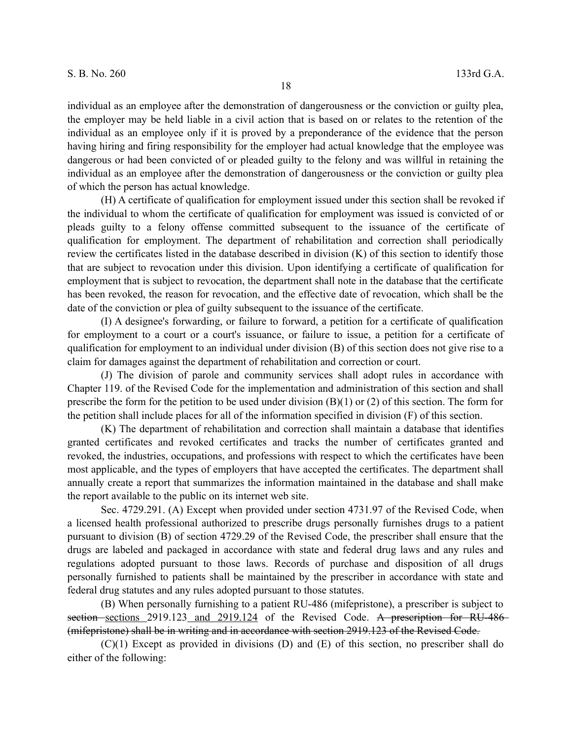individual as an employee after the demonstration of dangerousness or the conviction or guilty plea, the employer may be held liable in a civil action that is based on or relates to the retention of the individual as an employee only if it is proved by a preponderance of the evidence that the person having hiring and firing responsibility for the employer had actual knowledge that the employee was dangerous or had been convicted of or pleaded guilty to the felony and was willful in retaining the individual as an employee after the demonstration of dangerousness or the conviction or guilty plea of which the person has actual knowledge.

(H) A certificate of qualification for employment issued under this section shall be revoked if the individual to whom the certificate of qualification for employment was issued is convicted of or pleads guilty to a felony offense committed subsequent to the issuance of the certificate of qualification for employment. The department of rehabilitation and correction shall periodically review the certificates listed in the database described in division (K) of this section to identify those that are subject to revocation under this division. Upon identifying a certificate of qualification for employment that is subject to revocation, the department shall note in the database that the certificate has been revoked, the reason for revocation, and the effective date of revocation, which shall be the date of the conviction or plea of guilty subsequent to the issuance of the certificate.

(I) A designee's forwarding, or failure to forward, a petition for a certificate of qualification for employment to a court or a court's issuance, or failure to issue, a petition for a certificate of qualification for employment to an individual under division (B) of this section does not give rise to a claim for damages against the department of rehabilitation and correction or court.

(J) The division of parole and community services shall adopt rules in accordance with Chapter 119. of the Revised Code for the implementation and administration of this section and shall prescribe the form for the petition to be used under division (B)(1) or (2) of this section. The form for the petition shall include places for all of the information specified in division (F) of this section.

(K) The department of rehabilitation and correction shall maintain a database that identifies granted certificates and revoked certificates and tracks the number of certificates granted and revoked, the industries, occupations, and professions with respect to which the certificates have been most applicable, and the types of employers that have accepted the certificates. The department shall annually create a report that summarizes the information maintained in the database and shall make the report available to the public on its internet web site.

Sec. 4729.291. (A) Except when provided under section 4731.97 of the Revised Code, when a licensed health professional authorized to prescribe drugs personally furnishes drugs to a patient pursuant to division (B) of section 4729.29 of the Revised Code, the prescriber shall ensure that the drugs are labeled and packaged in accordance with state and federal drug laws and any rules and regulations adopted pursuant to those laws. Records of purchase and disposition of all drugs personally furnished to patients shall be maintained by the prescriber in accordance with state and federal drug statutes and any rules adopted pursuant to those statutes.

(B) When personally furnishing to a patient RU-486 (mifepristone), a prescriber is subject to section sections 2919.123 and 2919.124 of the Revised Code. A prescription for RU-486 (mifepristone) shall be in writing and in accordance with section 2919.123 of the Revised Code.

(C)(1) Except as provided in divisions (D) and (E) of this section, no prescriber shall do either of the following: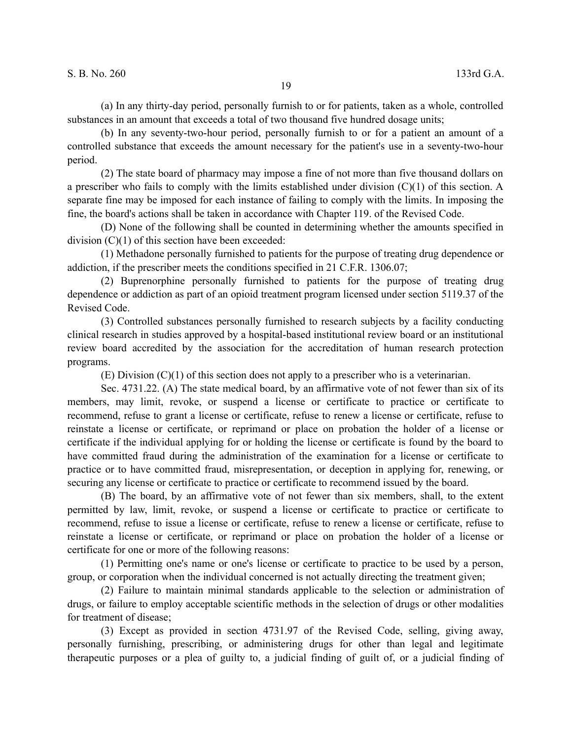(a) In any thirty-day period, personally furnish to or for patients, taken as a whole, controlled substances in an amount that exceeds a total of two thousand five hundred dosage units;

(b) In any seventy-two-hour period, personally furnish to or for a patient an amount of a controlled substance that exceeds the amount necessary for the patient's use in a seventy-two-hour period.

(2) The state board of pharmacy may impose a fine of not more than five thousand dollars on a prescriber who fails to comply with the limits established under division (C)(1) of this section. A separate fine may be imposed for each instance of failing to comply with the limits. In imposing the fine, the board's actions shall be taken in accordance with Chapter 119. of the Revised Code.

(D) None of the following shall be counted in determining whether the amounts specified in division  $(C)(1)$  of this section have been exceeded:

(1) Methadone personally furnished to patients for the purpose of treating drug dependence or addiction, if the prescriber meets the conditions specified in 21 C.F.R. 1306.07;

(2) Buprenorphine personally furnished to patients for the purpose of treating drug dependence or addiction as part of an opioid treatment program licensed under section 5119.37 of the Revised Code.

(3) Controlled substances personally furnished to research subjects by a facility conducting clinical research in studies approved by a hospital-based institutional review board or an institutional review board accredited by the association for the accreditation of human research protection programs.

(E) Division (C)(1) of this section does not apply to a prescriber who is a veterinarian.

Sec. 4731.22. (A) The state medical board, by an affirmative vote of not fewer than six of its members, may limit, revoke, or suspend a license or certificate to practice or certificate to recommend, refuse to grant a license or certificate, refuse to renew a license or certificate, refuse to reinstate a license or certificate, or reprimand or place on probation the holder of a license or certificate if the individual applying for or holding the license or certificate is found by the board to have committed fraud during the administration of the examination for a license or certificate to practice or to have committed fraud, misrepresentation, or deception in applying for, renewing, or securing any license or certificate to practice or certificate to recommend issued by the board.

(B) The board, by an affirmative vote of not fewer than six members, shall, to the extent permitted by law, limit, revoke, or suspend a license or certificate to practice or certificate to recommend, refuse to issue a license or certificate, refuse to renew a license or certificate, refuse to reinstate a license or certificate, or reprimand or place on probation the holder of a license or certificate for one or more of the following reasons:

(1) Permitting one's name or one's license or certificate to practice to be used by a person, group, or corporation when the individual concerned is not actually directing the treatment given;

(2) Failure to maintain minimal standards applicable to the selection or administration of drugs, or failure to employ acceptable scientific methods in the selection of drugs or other modalities for treatment of disease;

(3) Except as provided in section 4731.97 of the Revised Code, selling, giving away, personally furnishing, prescribing, or administering drugs for other than legal and legitimate therapeutic purposes or a plea of guilty to, a judicial finding of guilt of, or a judicial finding of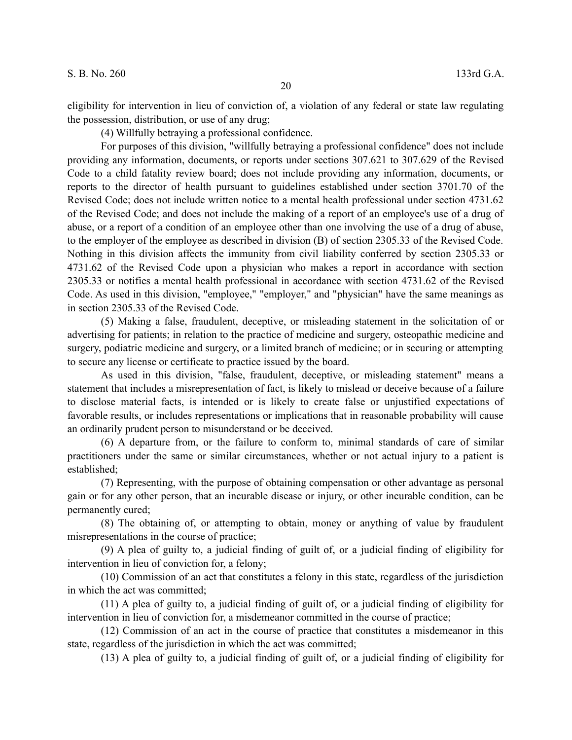eligibility for intervention in lieu of conviction of, a violation of any federal or state law regulating the possession, distribution, or use of any drug;

20

(4) Willfully betraying a professional confidence.

For purposes of this division, "willfully betraying a professional confidence" does not include providing any information, documents, or reports under sections 307.621 to 307.629 of the Revised Code to a child fatality review board; does not include providing any information, documents, or reports to the director of health pursuant to guidelines established under section 3701.70 of the Revised Code; does not include written notice to a mental health professional under section 4731.62 of the Revised Code; and does not include the making of a report of an employee's use of a drug of abuse, or a report of a condition of an employee other than one involving the use of a drug of abuse, to the employer of the employee as described in division (B) of section 2305.33 of the Revised Code. Nothing in this division affects the immunity from civil liability conferred by section 2305.33 or 4731.62 of the Revised Code upon a physician who makes a report in accordance with section 2305.33 or notifies a mental health professional in accordance with section 4731.62 of the Revised Code. As used in this division, "employee," "employer," and "physician" have the same meanings as in section 2305.33 of the Revised Code.

(5) Making a false, fraudulent, deceptive, or misleading statement in the solicitation of or advertising for patients; in relation to the practice of medicine and surgery, osteopathic medicine and surgery, podiatric medicine and surgery, or a limited branch of medicine; or in securing or attempting to secure any license or certificate to practice issued by the board.

As used in this division, "false, fraudulent, deceptive, or misleading statement" means a statement that includes a misrepresentation of fact, is likely to mislead or deceive because of a failure to disclose material facts, is intended or is likely to create false or unjustified expectations of favorable results, or includes representations or implications that in reasonable probability will cause an ordinarily prudent person to misunderstand or be deceived.

(6) A departure from, or the failure to conform to, minimal standards of care of similar practitioners under the same or similar circumstances, whether or not actual injury to a patient is established;

(7) Representing, with the purpose of obtaining compensation or other advantage as personal gain or for any other person, that an incurable disease or injury, or other incurable condition, can be permanently cured;

(8) The obtaining of, or attempting to obtain, money or anything of value by fraudulent misrepresentations in the course of practice;

(9) A plea of guilty to, a judicial finding of guilt of, or a judicial finding of eligibility for intervention in lieu of conviction for, a felony;

(10) Commission of an act that constitutes a felony in this state, regardless of the jurisdiction in which the act was committed;

(11) A plea of guilty to, a judicial finding of guilt of, or a judicial finding of eligibility for intervention in lieu of conviction for, a misdemeanor committed in the course of practice;

(12) Commission of an act in the course of practice that constitutes a misdemeanor in this state, regardless of the jurisdiction in which the act was committed;

(13) A plea of guilty to, a judicial finding of guilt of, or a judicial finding of eligibility for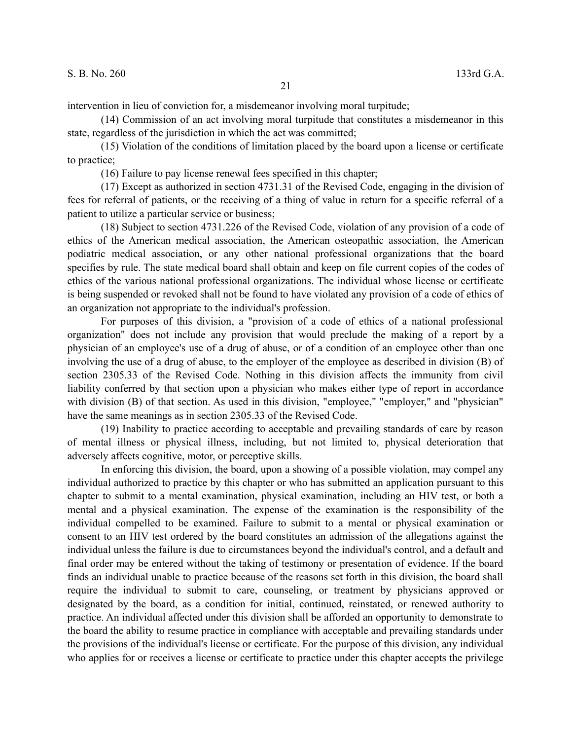intervention in lieu of conviction for, a misdemeanor involving moral turpitude;

(14) Commission of an act involving moral turpitude that constitutes a misdemeanor in this state, regardless of the jurisdiction in which the act was committed;

(15) Violation of the conditions of limitation placed by the board upon a license or certificate to practice;

(16) Failure to pay license renewal fees specified in this chapter;

(17) Except as authorized in section 4731.31 of the Revised Code, engaging in the division of fees for referral of patients, or the receiving of a thing of value in return for a specific referral of a patient to utilize a particular service or business;

(18) Subject to section 4731.226 of the Revised Code, violation of any provision of a code of ethics of the American medical association, the American osteopathic association, the American podiatric medical association, or any other national professional organizations that the board specifies by rule. The state medical board shall obtain and keep on file current copies of the codes of ethics of the various national professional organizations. The individual whose license or certificate is being suspended or revoked shall not be found to have violated any provision of a code of ethics of an organization not appropriate to the individual's profession.

For purposes of this division, a "provision of a code of ethics of a national professional organization" does not include any provision that would preclude the making of a report by a physician of an employee's use of a drug of abuse, or of a condition of an employee other than one involving the use of a drug of abuse, to the employer of the employee as described in division (B) of section 2305.33 of the Revised Code. Nothing in this division affects the immunity from civil liability conferred by that section upon a physician who makes either type of report in accordance with division (B) of that section. As used in this division, "employee," "employer," and "physician" have the same meanings as in section 2305.33 of the Revised Code.

(19) Inability to practice according to acceptable and prevailing standards of care by reason of mental illness or physical illness, including, but not limited to, physical deterioration that adversely affects cognitive, motor, or perceptive skills.

In enforcing this division, the board, upon a showing of a possible violation, may compel any individual authorized to practice by this chapter or who has submitted an application pursuant to this chapter to submit to a mental examination, physical examination, including an HIV test, or both a mental and a physical examination. The expense of the examination is the responsibility of the individual compelled to be examined. Failure to submit to a mental or physical examination or consent to an HIV test ordered by the board constitutes an admission of the allegations against the individual unless the failure is due to circumstances beyond the individual's control, and a default and final order may be entered without the taking of testimony or presentation of evidence. If the board finds an individual unable to practice because of the reasons set forth in this division, the board shall require the individual to submit to care, counseling, or treatment by physicians approved or designated by the board, as a condition for initial, continued, reinstated, or renewed authority to practice. An individual affected under this division shall be afforded an opportunity to demonstrate to the board the ability to resume practice in compliance with acceptable and prevailing standards under the provisions of the individual's license or certificate. For the purpose of this division, any individual who applies for or receives a license or certificate to practice under this chapter accepts the privilege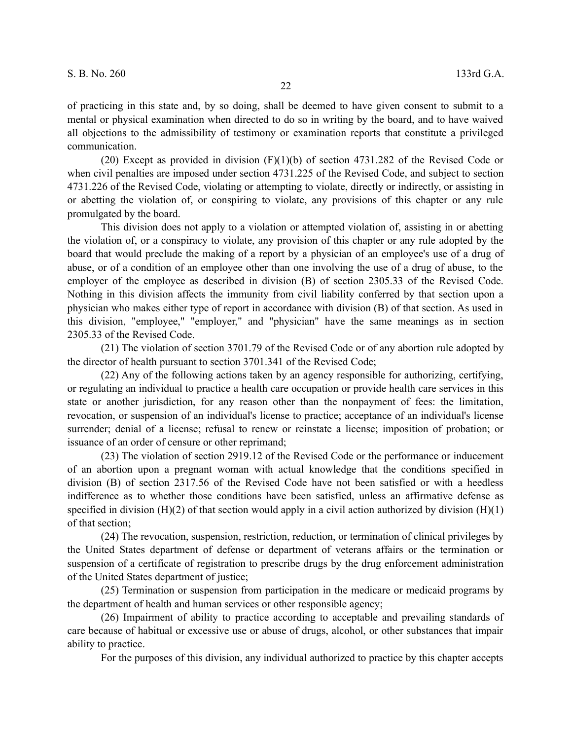of practicing in this state and, by so doing, shall be deemed to have given consent to submit to a mental or physical examination when directed to do so in writing by the board, and to have waived all objections to the admissibility of testimony or examination reports that constitute a privileged communication.

(20) Except as provided in division (F)(1)(b) of section 4731.282 of the Revised Code or when civil penalties are imposed under section 4731.225 of the Revised Code, and subject to section 4731.226 of the Revised Code, violating or attempting to violate, directly or indirectly, or assisting in or abetting the violation of, or conspiring to violate, any provisions of this chapter or any rule promulgated by the board.

This division does not apply to a violation or attempted violation of, assisting in or abetting the violation of, or a conspiracy to violate, any provision of this chapter or any rule adopted by the board that would preclude the making of a report by a physician of an employee's use of a drug of abuse, or of a condition of an employee other than one involving the use of a drug of abuse, to the employer of the employee as described in division (B) of section 2305.33 of the Revised Code. Nothing in this division affects the immunity from civil liability conferred by that section upon a physician who makes either type of report in accordance with division (B) of that section. As used in this division, "employee," "employer," and "physician" have the same meanings as in section 2305.33 of the Revised Code.

(21) The violation of section 3701.79 of the Revised Code or of any abortion rule adopted by the director of health pursuant to section 3701.341 of the Revised Code;

(22) Any of the following actions taken by an agency responsible for authorizing, certifying, or regulating an individual to practice a health care occupation or provide health care services in this state or another jurisdiction, for any reason other than the nonpayment of fees: the limitation, revocation, or suspension of an individual's license to practice; acceptance of an individual's license surrender; denial of a license; refusal to renew or reinstate a license; imposition of probation; or issuance of an order of censure or other reprimand;

(23) The violation of section 2919.12 of the Revised Code or the performance or inducement of an abortion upon a pregnant woman with actual knowledge that the conditions specified in division (B) of section 2317.56 of the Revised Code have not been satisfied or with a heedless indifference as to whether those conditions have been satisfied, unless an affirmative defense as specified in division  $(H)(2)$  of that section would apply in a civil action authorized by division  $(H)(1)$ of that section;

(24) The revocation, suspension, restriction, reduction, or termination of clinical privileges by the United States department of defense or department of veterans affairs or the termination or suspension of a certificate of registration to prescribe drugs by the drug enforcement administration of the United States department of justice;

(25) Termination or suspension from participation in the medicare or medicaid programs by the department of health and human services or other responsible agency;

(26) Impairment of ability to practice according to acceptable and prevailing standards of care because of habitual or excessive use or abuse of drugs, alcohol, or other substances that impair ability to practice.

For the purposes of this division, any individual authorized to practice by this chapter accepts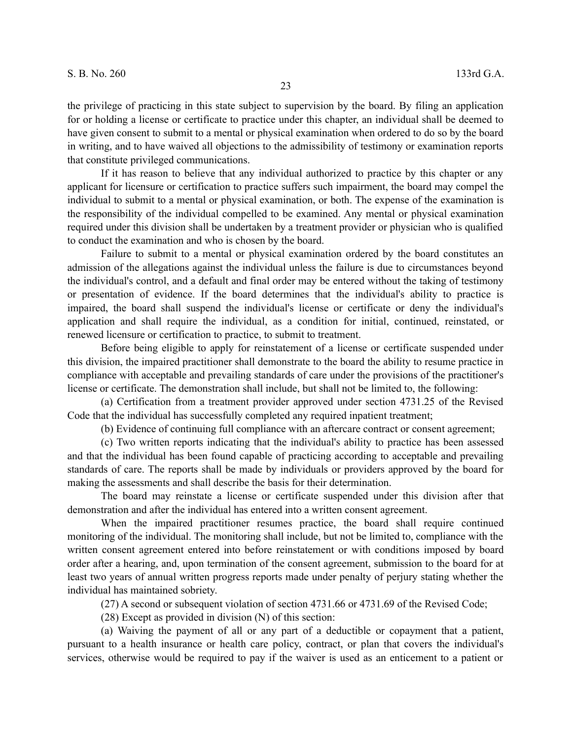the privilege of practicing in this state subject to supervision by the board. By filing an application for or holding a license or certificate to practice under this chapter, an individual shall be deemed to have given consent to submit to a mental or physical examination when ordered to do so by the board in writing, and to have waived all objections to the admissibility of testimony or examination reports that constitute privileged communications.

If it has reason to believe that any individual authorized to practice by this chapter or any applicant for licensure or certification to practice suffers such impairment, the board may compel the individual to submit to a mental or physical examination, or both. The expense of the examination is the responsibility of the individual compelled to be examined. Any mental or physical examination required under this division shall be undertaken by a treatment provider or physician who is qualified to conduct the examination and who is chosen by the board.

Failure to submit to a mental or physical examination ordered by the board constitutes an admission of the allegations against the individual unless the failure is due to circumstances beyond the individual's control, and a default and final order may be entered without the taking of testimony or presentation of evidence. If the board determines that the individual's ability to practice is impaired, the board shall suspend the individual's license or certificate or deny the individual's application and shall require the individual, as a condition for initial, continued, reinstated, or renewed licensure or certification to practice, to submit to treatment.

Before being eligible to apply for reinstatement of a license or certificate suspended under this division, the impaired practitioner shall demonstrate to the board the ability to resume practice in compliance with acceptable and prevailing standards of care under the provisions of the practitioner's license or certificate. The demonstration shall include, but shall not be limited to, the following:

(a) Certification from a treatment provider approved under section 4731.25 of the Revised Code that the individual has successfully completed any required inpatient treatment;

(b) Evidence of continuing full compliance with an aftercare contract or consent agreement;

(c) Two written reports indicating that the individual's ability to practice has been assessed and that the individual has been found capable of practicing according to acceptable and prevailing standards of care. The reports shall be made by individuals or providers approved by the board for making the assessments and shall describe the basis for their determination.

The board may reinstate a license or certificate suspended under this division after that demonstration and after the individual has entered into a written consent agreement.

When the impaired practitioner resumes practice, the board shall require continued monitoring of the individual. The monitoring shall include, but not be limited to, compliance with the written consent agreement entered into before reinstatement or with conditions imposed by board order after a hearing, and, upon termination of the consent agreement, submission to the board for at least two years of annual written progress reports made under penalty of perjury stating whether the individual has maintained sobriety.

(27) A second or subsequent violation of section 4731.66 or 4731.69 of the Revised Code;

(28) Except as provided in division (N) of this section:

(a) Waiving the payment of all or any part of a deductible or copayment that a patient, pursuant to a health insurance or health care policy, contract, or plan that covers the individual's services, otherwise would be required to pay if the waiver is used as an enticement to a patient or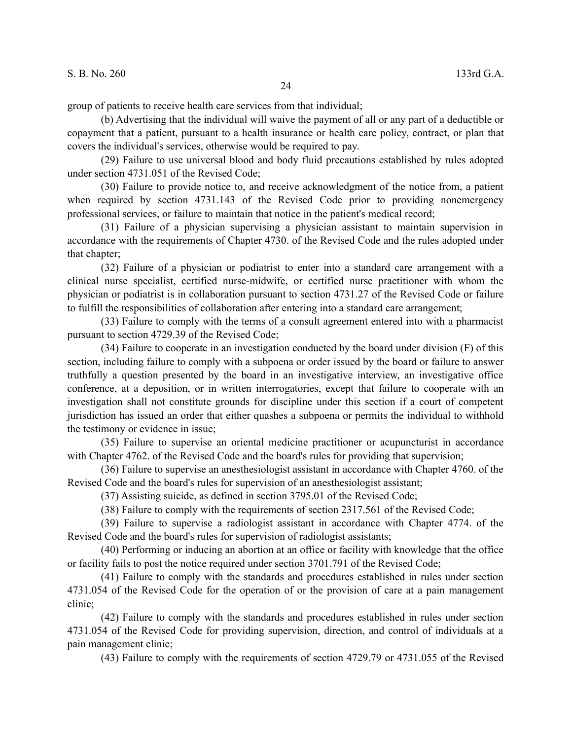(b) Advertising that the individual will waive the payment of all or any part of a deductible or copayment that a patient, pursuant to a health insurance or health care policy, contract, or plan that covers the individual's services, otherwise would be required to pay.

24

(29) Failure to use universal blood and body fluid precautions established by rules adopted under section 4731.051 of the Revised Code;

(30) Failure to provide notice to, and receive acknowledgment of the notice from, a patient when required by section 4731.143 of the Revised Code prior to providing nonemergency professional services, or failure to maintain that notice in the patient's medical record;

(31) Failure of a physician supervising a physician assistant to maintain supervision in accordance with the requirements of Chapter 4730. of the Revised Code and the rules adopted under that chapter;

(32) Failure of a physician or podiatrist to enter into a standard care arrangement with a clinical nurse specialist, certified nurse-midwife, or certified nurse practitioner with whom the physician or podiatrist is in collaboration pursuant to section 4731.27 of the Revised Code or failure to fulfill the responsibilities of collaboration after entering into a standard care arrangement;

(33) Failure to comply with the terms of a consult agreement entered into with a pharmacist pursuant to section 4729.39 of the Revised Code;

(34) Failure to cooperate in an investigation conducted by the board under division (F) of this section, including failure to comply with a subpoena or order issued by the board or failure to answer truthfully a question presented by the board in an investigative interview, an investigative office conference, at a deposition, or in written interrogatories, except that failure to cooperate with an investigation shall not constitute grounds for discipline under this section if a court of competent jurisdiction has issued an order that either quashes a subpoena or permits the individual to withhold the testimony or evidence in issue;

(35) Failure to supervise an oriental medicine practitioner or acupuncturist in accordance with Chapter 4762. of the Revised Code and the board's rules for providing that supervision;

(36) Failure to supervise an anesthesiologist assistant in accordance with Chapter 4760. of the Revised Code and the board's rules for supervision of an anesthesiologist assistant;

(37) Assisting suicide, as defined in section 3795.01 of the Revised Code;

(38) Failure to comply with the requirements of section 2317.561 of the Revised Code;

(39) Failure to supervise a radiologist assistant in accordance with Chapter 4774. of the Revised Code and the board's rules for supervision of radiologist assistants;

(40) Performing or inducing an abortion at an office or facility with knowledge that the office or facility fails to post the notice required under section 3701.791 of the Revised Code;

(41) Failure to comply with the standards and procedures established in rules under section 4731.054 of the Revised Code for the operation of or the provision of care at a pain management clinic;

(42) Failure to comply with the standards and procedures established in rules under section 4731.054 of the Revised Code for providing supervision, direction, and control of individuals at a pain management clinic;

(43) Failure to comply with the requirements of section 4729.79 or 4731.055 of the Revised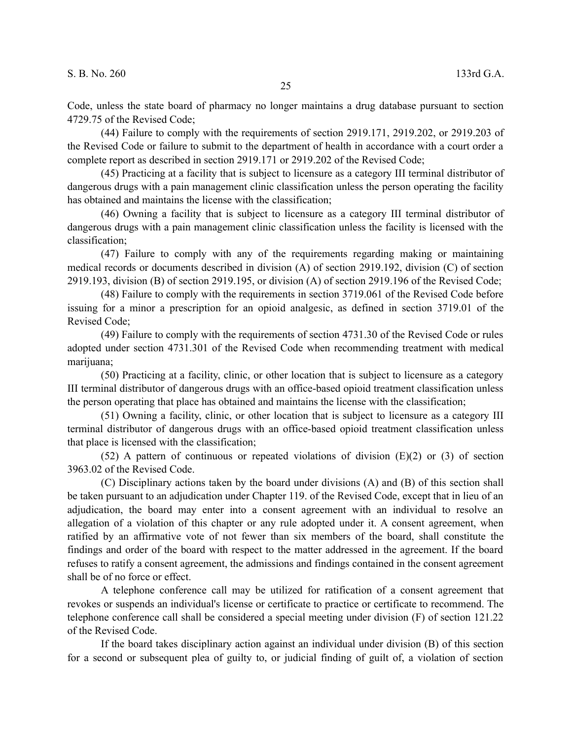Code, unless the state board of pharmacy no longer maintains a drug database pursuant to section 4729.75 of the Revised Code;

(44) Failure to comply with the requirements of section 2919.171, 2919.202, or 2919.203 of the Revised Code or failure to submit to the department of health in accordance with a court order a complete report as described in section 2919.171 or 2919.202 of the Revised Code;

(45) Practicing at a facility that is subject to licensure as a category III terminal distributor of dangerous drugs with a pain management clinic classification unless the person operating the facility has obtained and maintains the license with the classification;

(46) Owning a facility that is subject to licensure as a category III terminal distributor of dangerous drugs with a pain management clinic classification unless the facility is licensed with the classification;

(47) Failure to comply with any of the requirements regarding making or maintaining medical records or documents described in division (A) of section 2919.192, division (C) of section 2919.193, division (B) of section 2919.195, or division (A) of section 2919.196 of the Revised Code;

(48) Failure to comply with the requirements in section 3719.061 of the Revised Code before issuing for a minor a prescription for an opioid analgesic, as defined in section 3719.01 of the Revised Code;

(49) Failure to comply with the requirements of section 4731.30 of the Revised Code or rules adopted under section 4731.301 of the Revised Code when recommending treatment with medical marijuana;

(50) Practicing at a facility, clinic, or other location that is subject to licensure as a category III terminal distributor of dangerous drugs with an office-based opioid treatment classification unless the person operating that place has obtained and maintains the license with the classification;

(51) Owning a facility, clinic, or other location that is subject to licensure as a category III terminal distributor of dangerous drugs with an office-based opioid treatment classification unless that place is licensed with the classification;

(52) A pattern of continuous or repeated violations of division (E)(2) or (3) of section 3963.02 of the Revised Code.

(C) Disciplinary actions taken by the board under divisions (A) and (B) of this section shall be taken pursuant to an adjudication under Chapter 119. of the Revised Code, except that in lieu of an adjudication, the board may enter into a consent agreement with an individual to resolve an allegation of a violation of this chapter or any rule adopted under it. A consent agreement, when ratified by an affirmative vote of not fewer than six members of the board, shall constitute the findings and order of the board with respect to the matter addressed in the agreement. If the board refuses to ratify a consent agreement, the admissions and findings contained in the consent agreement shall be of no force or effect.

A telephone conference call may be utilized for ratification of a consent agreement that revokes or suspends an individual's license or certificate to practice or certificate to recommend. The telephone conference call shall be considered a special meeting under division (F) of section 121.22 of the Revised Code.

If the board takes disciplinary action against an individual under division (B) of this section for a second or subsequent plea of guilty to, or judicial finding of guilt of, a violation of section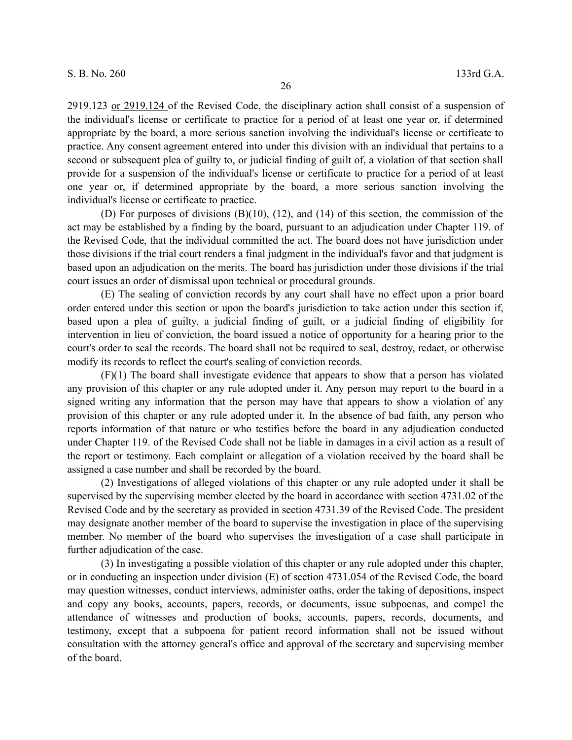2919.123 or 2919.124 of the Revised Code, the disciplinary action shall consist of a suspension of the individual's license or certificate to practice for a period of at least one year or, if determined appropriate by the board, a more serious sanction involving the individual's license or certificate to practice. Any consent agreement entered into under this division with an individual that pertains to a second or subsequent plea of guilty to, or judicial finding of guilt of, a violation of that section shall provide for a suspension of the individual's license or certificate to practice for a period of at least one year or, if determined appropriate by the board, a more serious sanction involving the individual's license or certificate to practice.

(D) For purposes of divisions (B)(10), (12), and (14) of this section, the commission of the act may be established by a finding by the board, pursuant to an adjudication under Chapter 119. of the Revised Code, that the individual committed the act. The board does not have jurisdiction under those divisions if the trial court renders a final judgment in the individual's favor and that judgment is based upon an adjudication on the merits. The board has jurisdiction under those divisions if the trial court issues an order of dismissal upon technical or procedural grounds.

(E) The sealing of conviction records by any court shall have no effect upon a prior board order entered under this section or upon the board's jurisdiction to take action under this section if, based upon a plea of guilty, a judicial finding of guilt, or a judicial finding of eligibility for intervention in lieu of conviction, the board issued a notice of opportunity for a hearing prior to the court's order to seal the records. The board shall not be required to seal, destroy, redact, or otherwise modify its records to reflect the court's sealing of conviction records.

(F)(1) The board shall investigate evidence that appears to show that a person has violated any provision of this chapter or any rule adopted under it. Any person may report to the board in a signed writing any information that the person may have that appears to show a violation of any provision of this chapter or any rule adopted under it. In the absence of bad faith, any person who reports information of that nature or who testifies before the board in any adjudication conducted under Chapter 119. of the Revised Code shall not be liable in damages in a civil action as a result of the report or testimony. Each complaint or allegation of a violation received by the board shall be assigned a case number and shall be recorded by the board.

(2) Investigations of alleged violations of this chapter or any rule adopted under it shall be supervised by the supervising member elected by the board in accordance with section 4731.02 of the Revised Code and by the secretary as provided in section 4731.39 of the Revised Code. The president may designate another member of the board to supervise the investigation in place of the supervising member. No member of the board who supervises the investigation of a case shall participate in further adjudication of the case.

(3) In investigating a possible violation of this chapter or any rule adopted under this chapter, or in conducting an inspection under division (E) of section 4731.054 of the Revised Code, the board may question witnesses, conduct interviews, administer oaths, order the taking of depositions, inspect and copy any books, accounts, papers, records, or documents, issue subpoenas, and compel the attendance of witnesses and production of books, accounts, papers, records, documents, and testimony, except that a subpoena for patient record information shall not be issued without consultation with the attorney general's office and approval of the secretary and supervising member of the board.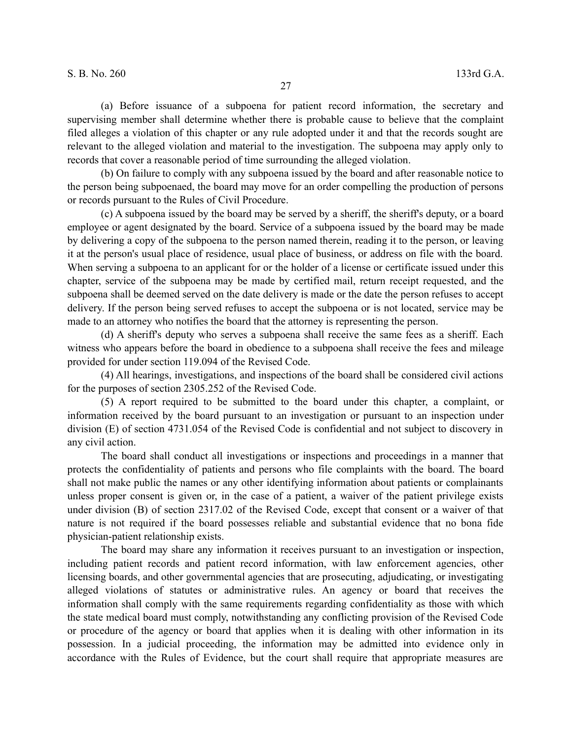(a) Before issuance of a subpoena for patient record information, the secretary and supervising member shall determine whether there is probable cause to believe that the complaint filed alleges a violation of this chapter or any rule adopted under it and that the records sought are relevant to the alleged violation and material to the investigation. The subpoena may apply only to records that cover a reasonable period of time surrounding the alleged violation.

(b) On failure to comply with any subpoena issued by the board and after reasonable notice to the person being subpoenaed, the board may move for an order compelling the production of persons or records pursuant to the Rules of Civil Procedure.

(c) A subpoena issued by the board may be served by a sheriff, the sheriff's deputy, or a board employee or agent designated by the board. Service of a subpoena issued by the board may be made by delivering a copy of the subpoena to the person named therein, reading it to the person, or leaving it at the person's usual place of residence, usual place of business, or address on file with the board. When serving a subpoena to an applicant for or the holder of a license or certificate issued under this chapter, service of the subpoena may be made by certified mail, return receipt requested, and the subpoena shall be deemed served on the date delivery is made or the date the person refuses to accept delivery. If the person being served refuses to accept the subpoena or is not located, service may be made to an attorney who notifies the board that the attorney is representing the person.

(d) A sheriff's deputy who serves a subpoena shall receive the same fees as a sheriff. Each witness who appears before the board in obedience to a subpoena shall receive the fees and mileage provided for under section 119.094 of the Revised Code.

(4) All hearings, investigations, and inspections of the board shall be considered civil actions for the purposes of section 2305.252 of the Revised Code.

(5) A report required to be submitted to the board under this chapter, a complaint, or information received by the board pursuant to an investigation or pursuant to an inspection under division (E) of section 4731.054 of the Revised Code is confidential and not subject to discovery in any civil action.

The board shall conduct all investigations or inspections and proceedings in a manner that protects the confidentiality of patients and persons who file complaints with the board. The board shall not make public the names or any other identifying information about patients or complainants unless proper consent is given or, in the case of a patient, a waiver of the patient privilege exists under division (B) of section 2317.02 of the Revised Code, except that consent or a waiver of that nature is not required if the board possesses reliable and substantial evidence that no bona fide physician-patient relationship exists.

The board may share any information it receives pursuant to an investigation or inspection, including patient records and patient record information, with law enforcement agencies, other licensing boards, and other governmental agencies that are prosecuting, adjudicating, or investigating alleged violations of statutes or administrative rules. An agency or board that receives the information shall comply with the same requirements regarding confidentiality as those with which the state medical board must comply, notwithstanding any conflicting provision of the Revised Code or procedure of the agency or board that applies when it is dealing with other information in its possession. In a judicial proceeding, the information may be admitted into evidence only in accordance with the Rules of Evidence, but the court shall require that appropriate measures are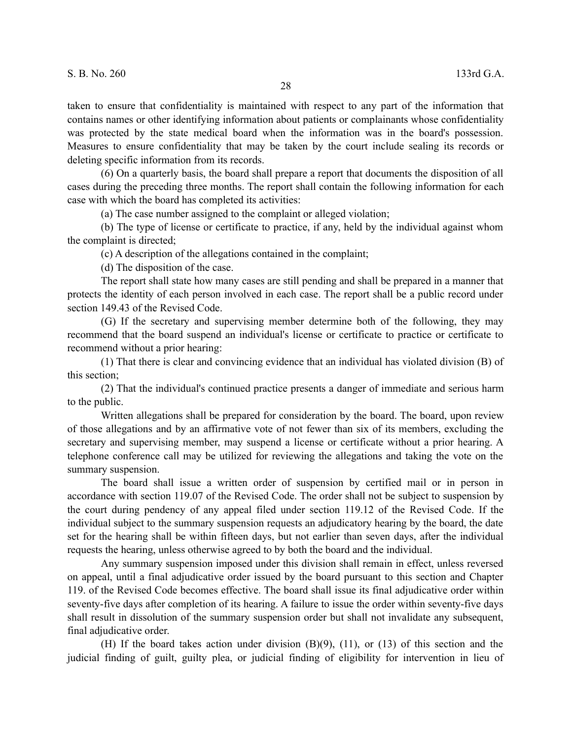taken to ensure that confidentiality is maintained with respect to any part of the information that contains names or other identifying information about patients or complainants whose confidentiality was protected by the state medical board when the information was in the board's possession. Measures to ensure confidentiality that may be taken by the court include sealing its records or deleting specific information from its records.

(6) On a quarterly basis, the board shall prepare a report that documents the disposition of all cases during the preceding three months. The report shall contain the following information for each case with which the board has completed its activities:

(a) The case number assigned to the complaint or alleged violation;

(b) The type of license or certificate to practice, if any, held by the individual against whom the complaint is directed;

(c) A description of the allegations contained in the complaint;

(d) The disposition of the case.

The report shall state how many cases are still pending and shall be prepared in a manner that protects the identity of each person involved in each case. The report shall be a public record under section 149.43 of the Revised Code.

(G) If the secretary and supervising member determine both of the following, they may recommend that the board suspend an individual's license or certificate to practice or certificate to recommend without a prior hearing:

(1) That there is clear and convincing evidence that an individual has violated division (B) of this section;

(2) That the individual's continued practice presents a danger of immediate and serious harm to the public.

Written allegations shall be prepared for consideration by the board. The board, upon review of those allegations and by an affirmative vote of not fewer than six of its members, excluding the secretary and supervising member, may suspend a license or certificate without a prior hearing. A telephone conference call may be utilized for reviewing the allegations and taking the vote on the summary suspension.

The board shall issue a written order of suspension by certified mail or in person in accordance with section 119.07 of the Revised Code. The order shall not be subject to suspension by the court during pendency of any appeal filed under section 119.12 of the Revised Code. If the individual subject to the summary suspension requests an adjudicatory hearing by the board, the date set for the hearing shall be within fifteen days, but not earlier than seven days, after the individual requests the hearing, unless otherwise agreed to by both the board and the individual.

Any summary suspension imposed under this division shall remain in effect, unless reversed on appeal, until a final adjudicative order issued by the board pursuant to this section and Chapter 119. of the Revised Code becomes effective. The board shall issue its final adjudicative order within seventy-five days after completion of its hearing. A failure to issue the order within seventy-five days shall result in dissolution of the summary suspension order but shall not invalidate any subsequent, final adjudicative order.

(H) If the board takes action under division (B)(9), (11), or (13) of this section and the judicial finding of guilt, guilty plea, or judicial finding of eligibility for intervention in lieu of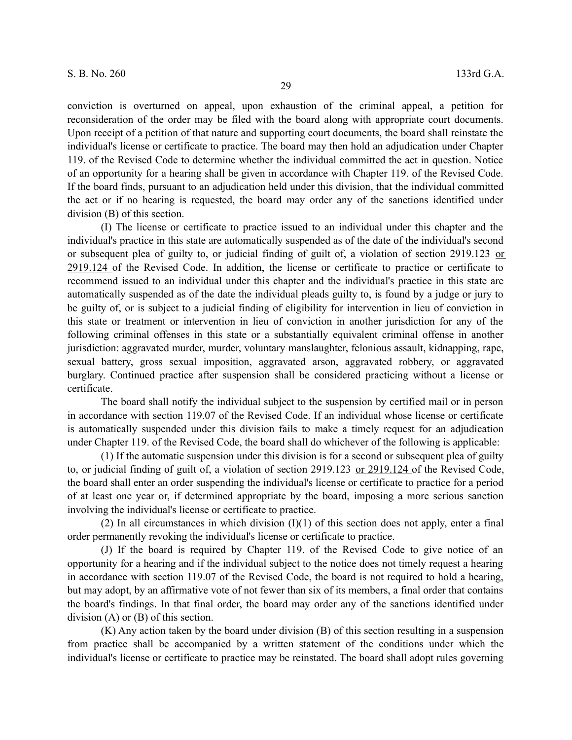conviction is overturned on appeal, upon exhaustion of the criminal appeal, a petition for reconsideration of the order may be filed with the board along with appropriate court documents. Upon receipt of a petition of that nature and supporting court documents, the board shall reinstate the individual's license or certificate to practice. The board may then hold an adjudication under Chapter 119. of the Revised Code to determine whether the individual committed the act in question. Notice of an opportunity for a hearing shall be given in accordance with Chapter 119. of the Revised Code. If the board finds, pursuant to an adjudication held under this division, that the individual committed the act or if no hearing is requested, the board may order any of the sanctions identified under division (B) of this section.

(I) The license or certificate to practice issued to an individual under this chapter and the individual's practice in this state are automatically suspended as of the date of the individual's second or subsequent plea of guilty to, or judicial finding of guilt of, a violation of section 2919.123 or 2919.124 of the Revised Code. In addition, the license or certificate to practice or certificate to recommend issued to an individual under this chapter and the individual's practice in this state are automatically suspended as of the date the individual pleads guilty to, is found by a judge or jury to be guilty of, or is subject to a judicial finding of eligibility for intervention in lieu of conviction in this state or treatment or intervention in lieu of conviction in another jurisdiction for any of the following criminal offenses in this state or a substantially equivalent criminal offense in another jurisdiction: aggravated murder, murder, voluntary manslaughter, felonious assault, kidnapping, rape, sexual battery, gross sexual imposition, aggravated arson, aggravated robbery, or aggravated burglary. Continued practice after suspension shall be considered practicing without a license or certificate.

The board shall notify the individual subject to the suspension by certified mail or in person in accordance with section 119.07 of the Revised Code. If an individual whose license or certificate is automatically suspended under this division fails to make a timely request for an adjudication under Chapter 119. of the Revised Code, the board shall do whichever of the following is applicable:

(1) If the automatic suspension under this division is for a second or subsequent plea of guilty to, or judicial finding of guilt of, a violation of section 2919.123 or 2919.124 of the Revised Code, the board shall enter an order suspending the individual's license or certificate to practice for a period of at least one year or, if determined appropriate by the board, imposing a more serious sanction involving the individual's license or certificate to practice.

(2) In all circumstances in which division  $(I)(1)$  of this section does not apply, enter a final order permanently revoking the individual's license or certificate to practice.

(J) If the board is required by Chapter 119. of the Revised Code to give notice of an opportunity for a hearing and if the individual subject to the notice does not timely request a hearing in accordance with section 119.07 of the Revised Code, the board is not required to hold a hearing, but may adopt, by an affirmative vote of not fewer than six of its members, a final order that contains the board's findings. In that final order, the board may order any of the sanctions identified under division (A) or (B) of this section.

(K) Any action taken by the board under division (B) of this section resulting in a suspension from practice shall be accompanied by a written statement of the conditions under which the individual's license or certificate to practice may be reinstated. The board shall adopt rules governing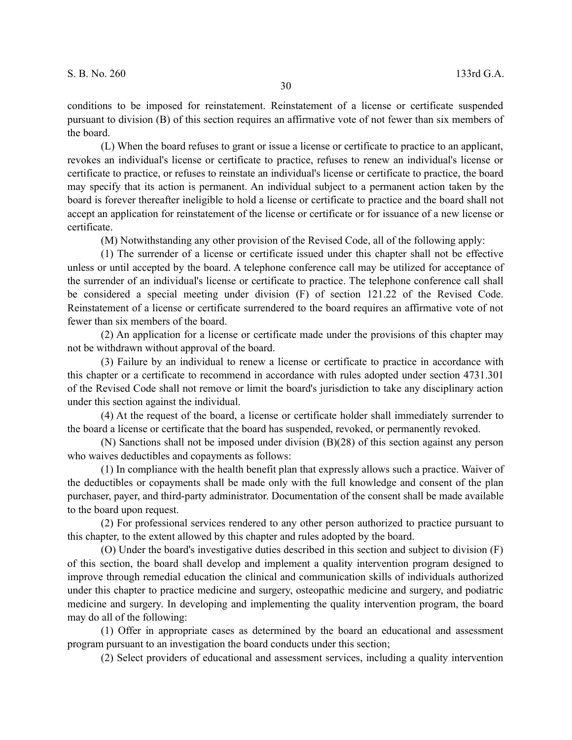conditions to be imposed for reinstatement. Reinstatement of a license or certificate suspended pursuant to division (B) of this section requires an affirmative vote of not fewer than six members of the board.

(L) When the board refuses to grant or issue a license or certificate to practice to an applicant, revokes an individual's license or certificate to practice, refuses to renew an individual's license or certificate to practice, or refuses to reinstate an individual's license or certificate to practice, the board may specify that its action is permanent. An individual subject to a permanent action taken by the board is forever thereafter ineligible to hold a license or certificate to practice and the board shall not accept an application for reinstatement of the license or certificate or for issuance of a new license or certificate.

(M) Notwithstanding any other provision of the Revised Code, all of the following apply:

(1) The surrender of a license or certificate issued under this chapter shall not be effective unless or until accepted by the board. A telephone conference call may be utilized for acceptance of the surrender of an individual's license or certificate to practice. The telephone conference call shall be considered a special meeting under division (F) of section 121.22 of the Revised Code. Reinstatement of a license or certificate surrendered to the board requires an affirmative vote of not fewer than six members of the board.

(2) An application for a license or certificate made under the provisions of this chapter may not be withdrawn without approval of the board.

(3) Failure by an individual to renew a license or certificate to practice in accordance with this chapter or a certificate to recommend in accordance with rules adopted under section 4731.301 of the Revised Code shall not remove or limit the board's jurisdiction to take any disciplinary action under this section against the individual.

(4) At the request of the board, a license or certificate holder shall immediately surrender to the board a license or certificate that the board has suspended, revoked, or permanently revoked.

(N) Sanctions shall not be imposed under division (B)(28) of this section against any person who waives deductibles and copayments as follows:

(1) In compliance with the health benefit plan that expressly allows such a practice. Waiver of the deductibles or copayments shall be made only with the full knowledge and consent of the plan purchaser, payer, and third-party administrator. Documentation of the consent shall be made available to the board upon request.

(2) For professional services rendered to any other person authorized to practice pursuant to this chapter, to the extent allowed by this chapter and rules adopted by the board.

(O) Under the board's investigative duties described in this section and subject to division (F) of this section, the board shall develop and implement a quality intervention program designed to improve through remedial education the clinical and communication skills of individuals authorized under this chapter to practice medicine and surgery, osteopathic medicine and surgery, and podiatric medicine and surgery. In developing and implementing the quality intervention program, the board may do all of the following:

(1) Offer in appropriate cases as determined by the board an educational and assessment program pursuant to an investigation the board conducts under this section;

(2) Select providers of educational and assessment services, including a quality intervention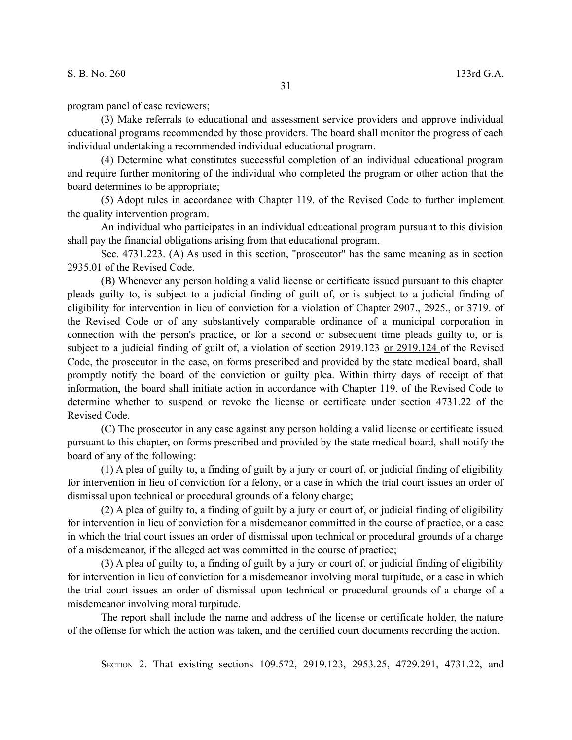## S. B. No. 260 133rd G.A.

program panel of case reviewers;

(3) Make referrals to educational and assessment service providers and approve individual educational programs recommended by those providers. The board shall monitor the progress of each individual undertaking a recommended individual educational program.

(4) Determine what constitutes successful completion of an individual educational program and require further monitoring of the individual who completed the program or other action that the board determines to be appropriate;

(5) Adopt rules in accordance with Chapter 119. of the Revised Code to further implement the quality intervention program.

An individual who participates in an individual educational program pursuant to this division shall pay the financial obligations arising from that educational program.

Sec. 4731.223. (A) As used in this section, "prosecutor" has the same meaning as in section 2935.01 of the Revised Code.

(B) Whenever any person holding a valid license or certificate issued pursuant to this chapter pleads guilty to, is subject to a judicial finding of guilt of, or is subject to a judicial finding of eligibility for intervention in lieu of conviction for a violation of Chapter 2907., 2925., or 3719. of the Revised Code or of any substantively comparable ordinance of a municipal corporation in connection with the person's practice, or for a second or subsequent time pleads guilty to, or is subject to a judicial finding of guilt of, a violation of section 2919.123 or 2919.124 of the Revised Code, the prosecutor in the case, on forms prescribed and provided by the state medical board, shall promptly notify the board of the conviction or guilty plea. Within thirty days of receipt of that information, the board shall initiate action in accordance with Chapter 119. of the Revised Code to determine whether to suspend or revoke the license or certificate under section 4731.22 of the Revised Code.

(C) The prosecutor in any case against any person holding a valid license or certificate issued pursuant to this chapter, on forms prescribed and provided by the state medical board, shall notify the board of any of the following:

(1) A plea of guilty to, a finding of guilt by a jury or court of, or judicial finding of eligibility for intervention in lieu of conviction for a felony, or a case in which the trial court issues an order of dismissal upon technical or procedural grounds of a felony charge;

(2) A plea of guilty to, a finding of guilt by a jury or court of, or judicial finding of eligibility for intervention in lieu of conviction for a misdemeanor committed in the course of practice, or a case in which the trial court issues an order of dismissal upon technical or procedural grounds of a charge of a misdemeanor, if the alleged act was committed in the course of practice;

(3) A plea of guilty to, a finding of guilt by a jury or court of, or judicial finding of eligibility for intervention in lieu of conviction for a misdemeanor involving moral turpitude, or a case in which the trial court issues an order of dismissal upon technical or procedural grounds of a charge of a misdemeanor involving moral turpitude.

The report shall include the name and address of the license or certificate holder, the nature of the offense for which the action was taken, and the certified court documents recording the action.

SECTION 2. That existing sections 109.572, 2919.123, 2953.25, 4729.291, 4731.22, and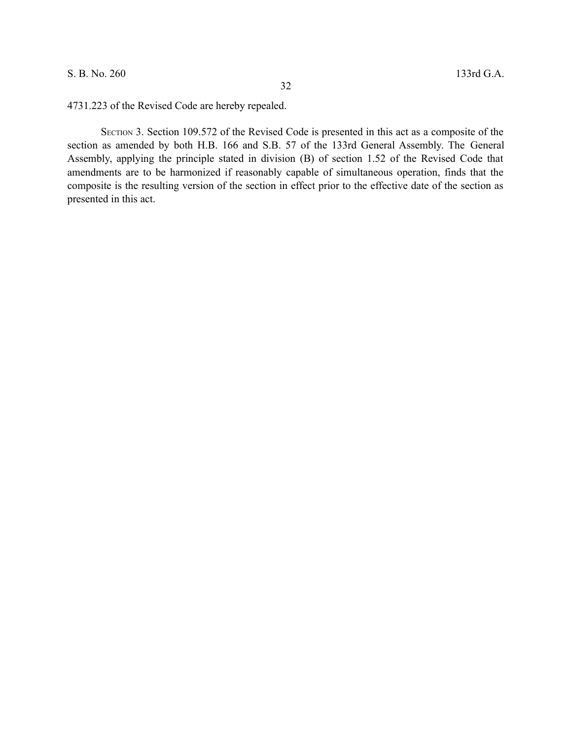## S. B. No. 260 133rd G.A.

4731.223 of the Revised Code are hereby repealed.

SECTION 3. Section 109.572 of the Revised Code is presented in this act as a composite of the section as amended by both H.B. 166 and S.B. 57 of the 133rd General Assembly. The General Assembly, applying the principle stated in division (B) of section 1.52 of the Revised Code that amendments are to be harmonized if reasonably capable of simultaneous operation, finds that the composite is the resulting version of the section in effect prior to the effective date of the section as presented in this act.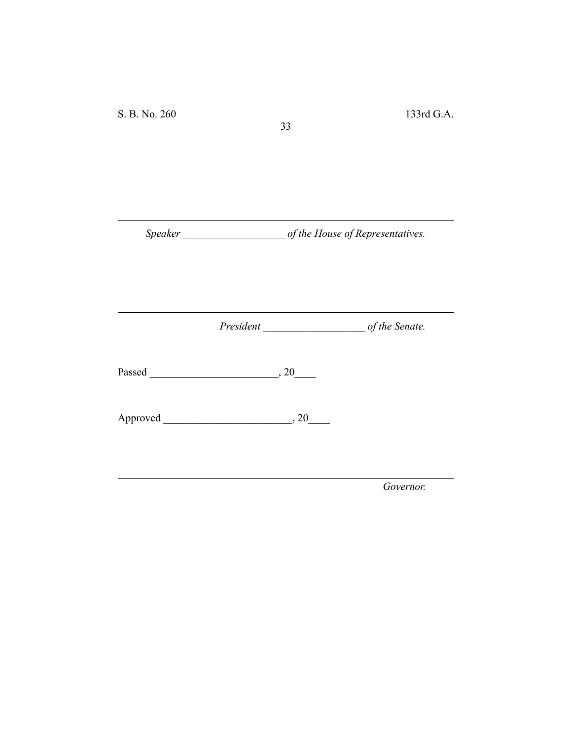*Speaker \_\_\_\_\_\_\_\_\_\_\_\_\_\_\_\_\_\_\_ of the House of Representatives.*

33

*President \_\_\_\_\_\_\_\_\_\_\_\_\_\_\_\_\_\_\_ of the Senate.*

Passed \_\_\_\_\_\_\_\_\_\_\_\_\_\_\_\_\_\_\_\_\_\_\_\_, 20\_\_\_\_

Approved \_\_\_\_\_\_\_\_\_\_\_\_\_\_\_\_\_\_\_\_\_\_\_\_, 20\_\_\_\_

*Governor.*